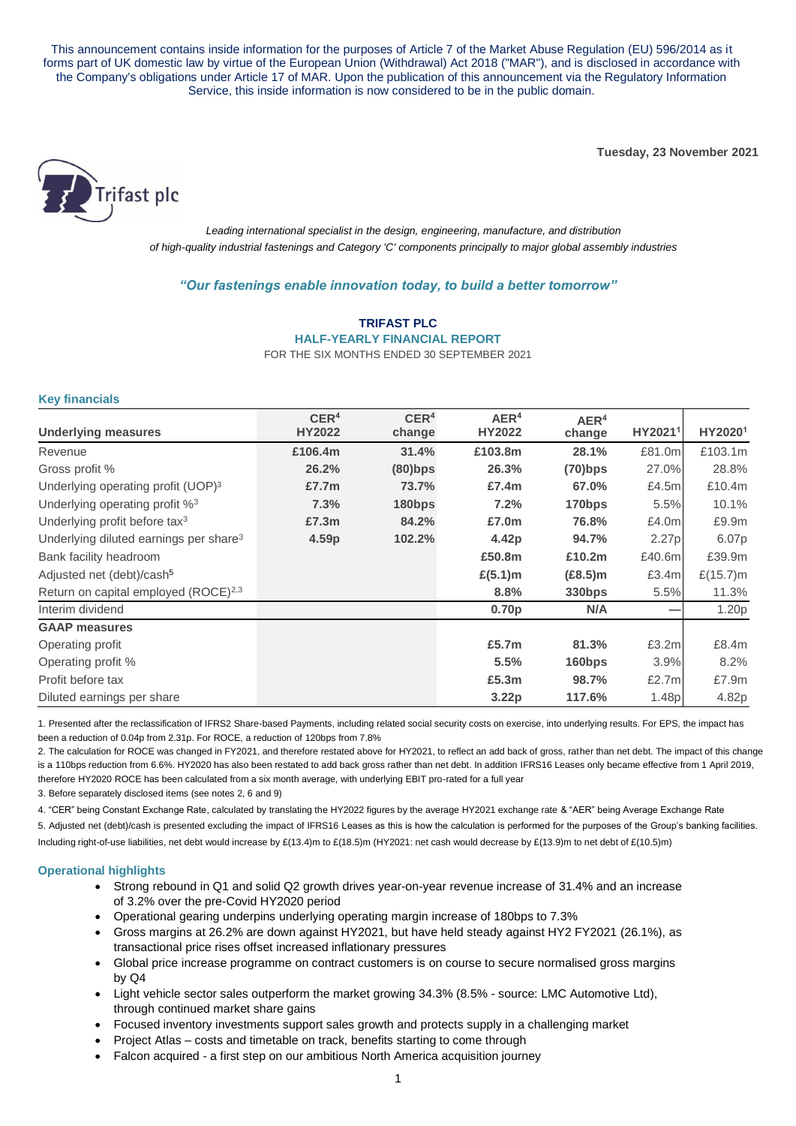This announcement contains inside information for the purposes of Article 7 of the Market Abuse Regulation (EU) 596/2014 as it forms part of UK domestic law by virtue of the European Union (Withdrawal) Act 2018 ("MAR"), and is disclosed in accordance with the Company's obligations under Article 17 of MAR. Upon the publication of this announcement via the Regulatory Information Service, this inside information is now considered to be in the public domain.

**Tuesday, 23 November 2021**



*Leading international specialist in the design, engineering, manufacture, and distribution of high-quality industrial fastenings and Category 'C' components principally to major global assembly industries*

# *"Our fastenings enable innovation today, to build a better tomorrow"*

**TRIFAST PLC HALF-YEARLY FINANCIAL REPORT**  FOR THE SIX MONTHS ENDED 30 SEPTEMBER 2021

### **Key financials**

|                                                    | CER <sup>4</sup> | CER <sup>4</sup> | AER <sup>4</sup>  | AER <sup>4</sup>   |         |                   |
|----------------------------------------------------|------------------|------------------|-------------------|--------------------|---------|-------------------|
| <b>Underlying measures</b>                         | <b>HY2022</b>    | change           | <b>HY2022</b>     | change             | HY20211 | HY20201           |
| Revenue                                            | £106.4m          | 31.4%            | £103.8m           | 28.1%              | £81.0m  | £103.1m           |
| Gross profit %                                     | 26.2%            | $(80)$ bps       | 26.3%             | $(70)$ bps         | 27.0%   | 28.8%             |
| Underlying operating profit (UOP) <sup>3</sup>     | £7.7 $m$         | 73.7%            | £7.4m             | 67.0%              | £4.5m   | £10.4m            |
| Underlying operating profit % <sup>3</sup>         | 7.3%             | 180bps           | 7.2%              | 170bps             | 5.5%    | 10.1%             |
| Underlying profit before tax $3$                   | £7.3m            | 84.2%            | £7.0m             | 76.8%              | £4.0m   | £9.9m             |
| Underlying diluted earnings per share <sup>3</sup> | 4.59p            | 102.2%           | 4.42p             | 94.7%              | 2.27p   | 6.07p             |
| Bank facility headroom                             |                  |                  | £50.8m            | £10.2m             | £40.6m  | £39.9m            |
| Adjusted net (debt)/cash <sup>5</sup>              |                  |                  | $£(5.1)$ m        | $(E8.5)$ m         | £3.4m   | £ $(15.7)$ m      |
| Return on capital employed (ROCE) <sup>2,3</sup>   |                  |                  | 8.8%              | 330bps             | 5.5%    | 11.3%             |
| Interim dividend                                   |                  |                  | 0.70p             | N/A                |         | 1.20 <sub>p</sub> |
| <b>GAAP measures</b>                               |                  |                  |                   |                    |         |                   |
| Operating profit                                   |                  |                  | £5.7m             | 81.3%              | £3.2m   | £8.4m             |
| Operating profit %                                 |                  |                  | 5.5%              | 160 <sub>bps</sub> | 3.9%    | 8.2%              |
| Profit before tax                                  |                  |                  | £5.3m             | 98.7%              | £2.7m   | £7.9m             |
| Diluted earnings per share                         |                  |                  | 3.22 <sub>p</sub> | 117.6%             | 1.48p   | 4.82p             |

1. Presented after the reclassification of IFRS2 Share-based Payments, including related social security costs on exercise, into underlying results. For EPS, the impact has been a reduction of 0.04p from 2.31p. For ROCE, a reduction of 120bps from 7.8%

2. The calculation for ROCE was changed in FY2021, and therefore restated above for HY2021, to reflect an add back of gross, rather than net debt. The impact of this change is a 110bps reduction from 6.6%. HY2020 has also been restated to add back gross rather than net debt. In addition IFRS16 Leases only became effective from 1 April 2019, therefore HY2020 ROCE has been calculated from a six month average, with underlying EBIT pro-rated for a full year

3. Before separately disclosed items (see notes 2, 6 and 9)

4. "CER" being Constant Exchange Rate, calculated by translating the HY2022 figures by the average HY2021 exchange rate & "AER" being Average Exchange Rate 5. Adjusted net (debt)/cash is presented excluding the impact of IFRS16 Leases as this is how the calculation is performed for the purposes of the Group's banking facilities. Including right-of-use liabilities, net debt would increase by £(13.4)m to £(18.5)m (HY2021: net cash would decrease by £(13.9)m to net debt of £(10.5)m)

#### **Operational highlights**

- Strong rebound in Q1 and solid Q2 growth drives year-on-year revenue increase of 31.4% and an increase of 3.2% over the pre-Covid HY2020 period
- Operational gearing underpins underlying operating margin increase of 180bps to 7.3%
- Gross margins at 26.2% are down against HY2021, but have held steady against HY2 FY2021 (26.1%), as transactional price rises offset increased inflationary pressures
- Global price increase programme on contract customers is on course to secure normalised gross margins by Q4
- Light vehicle sector sales outperform the market growing 34.3% (8.5% source: LMC Automotive Ltd), through continued market share gains
- Focused inventory investments support sales growth and protects supply in a challenging market
- Project Atlas costs and timetable on track, benefits starting to come through
- Falcon acquired a first step on our ambitious North America acquisition journey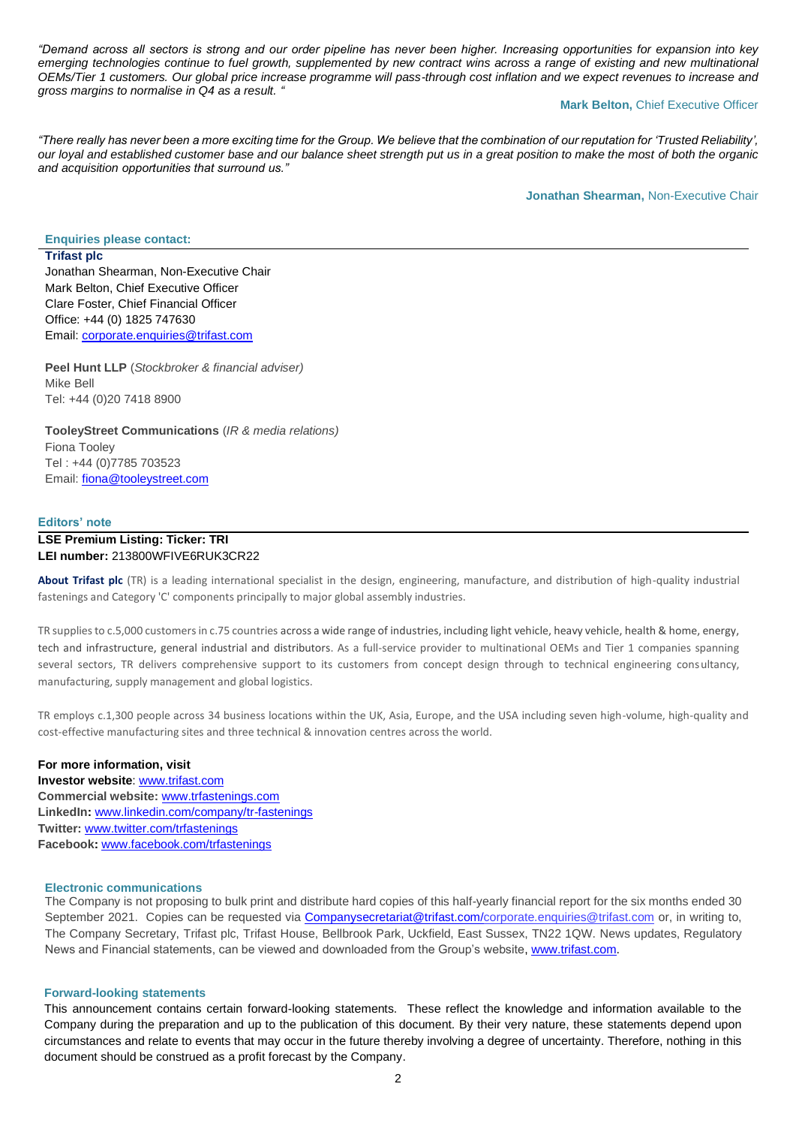*"Demand across all sectors is strong and our order pipeline has never been higher. Increasing opportunities for expansion into key emerging technologies continue to fuel growth, supplemented by new contract wins across a range of existing and new multinational OEMs/Tier 1 customers. Our global price increase programme will pass-through cost inflation and we expect revenues to increase and gross margins to normalise in Q4 as a result. "*

#### **Mark Belton, Chief Executive Officer**

*"There really has never been a more exciting time for the Group. We believe that the combination of our reputation for 'Trusted Reliability', our loyal and established customer base and our balance sheet strength put us in a great position to make the most of both the organic and acquisition opportunities that surround us."*

**Jonathan Shearman,** Non-Executive Chair

**Enquiries please contact:**

**Trifast plc** Jonathan Shearman, Non-Executive Chair Mark Belton, Chief Executive Officer Clare Foster, Chief Financial Officer Office: +44 (0) 1825 747630 Email: [corporate.enquiries@trifast.com](mailto:corporate.enquiries@trifast.com)

**Peel Hunt LLP** (*Stockbroker & financial adviser)* Mike Bell Tel: +44 (0)20 7418 8900

**TooleyStreet Communications** (*IR & media relations)* Fiona Tooley Tel : +44 (0)7785 703523 Email: [fiona@tooleystreet.com](mailto:fiona@tooleystreet.com)

#### **Editors' note**

### **LSE Premium Listing: Ticker: TRI LEI number:** 213800WFIVE6RUK3CR22

**About Trifast plc** (TR) is a leading international specialist in the design, engineering, manufacture, and distribution of high-quality industrial fastenings and Category 'C' components principally to major global assembly industries.

TR supplies to c.5,000 customers in c.75 countries across a wide range of industries, including light vehicle, heavy vehicle, health & home, energy, tech and infrastructure, general industrial and distributors. As a full-service provider to multinational OEMs and Tier 1 companies spanning several sectors, TR delivers comprehensive support to its customers from concept design through to technical engineering consultancy, manufacturing, supply management and global logistics.

TR employs c.1,300 people across 34 business locations within the UK, Asia, Europe, and the USA including seven high-volume, high-quality and cost-effective manufacturing sites and three technical & innovation centres across the world.

# **For more information, visit**

**Investor website**: [www.trifast.com](http://www.trifast.com/) **Commercial website:** [www.trfastenings.com](http://www.trfastenings.com/) **LinkedIn:** [www.linkedin.com/company/tr-fastenings](http://www.linkedin.com/company/tr-fastenings) **Twitter:** [www.twitter.com/trfastenings](http://www.twitter.com/trfastenings) **Facebook:** [www.facebook.com/trfastenings](http://www.facebook.com/trfastenings)

### **Electronic communications**

The Company is not proposing to bulk print and distribute hard copies of this half-yearly financial report for the six months ended 30 September 2021. Copies can be requested via [Companysecretariat@trifast.com](mailto:Companysecretariat@trifast.com)[/corporate.enquiries@trifast.com](mailto:corporate.enquiries@trifast.com) or, in writing to, The Company Secretary, Trifast plc, Trifast House, Bellbrook Park, Uckfield, East Sussex, TN22 1QW. News updates, Regulatory News and Financial statements, can be viewed and downloaded from the Group's website[, www.trifast.com.](http://www.trifast.com/)

#### **Forward-looking statements**

This announcement contains certain forward-looking statements. These reflect the knowledge and information available to the Company during the preparation and up to the publication of this document. By their very nature, these statements depend upon circumstances and relate to events that may occur in the future thereby involving a degree of uncertainty. Therefore, nothing in this document should be construed as a profit forecast by the Company.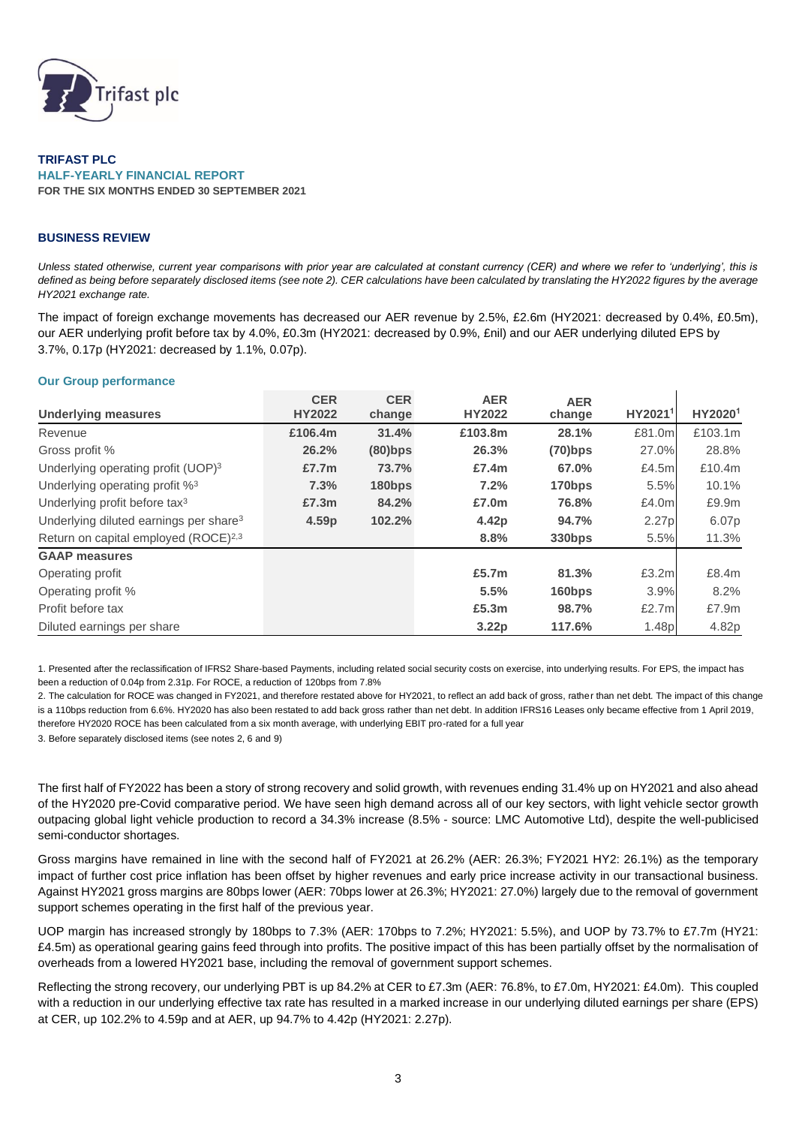

**TRIFAST PLC HALF-YEARLY FINANCIAL REPORT FOR THE SIX MONTHS ENDED 30 SEPTEMBER 2021**

### **BUSINESS REVIEW**

*Unless stated otherwise, current year comparisons with prior year are calculated at constant currency (CER) and where we refer to 'underlying', this is defined as being before separately disclosed items (see note 2). CER calculations have been calculated by translating the HY2022 figures by the average HY2021 exchange rate.* 

The impact of foreign exchange movements has decreased our AER revenue by 2.5%, £2.6m (HY2021: decreased by 0.4%, £0.5m), our AER underlying profit before tax by 4.0%, £0.3m (HY2021: decreased by 0.9%, £nil) and our AER underlying diluted EPS by 3.7%, 0.17p (HY2021: decreased by 1.1%, 0.07p).

### **Our Group performance**

|                                                    | <b>CER</b>        | <b>CER</b> | <b>AER</b>        | <b>AER</b>    |         |         |
|----------------------------------------------------|-------------------|------------|-------------------|---------------|---------|---------|
| <b>Underlying measures</b>                         | <b>HY2022</b>     | change     | <b>HY2022</b>     | change        | HY20211 | HY20201 |
| Revenue                                            | £106.4m           | 31.4%      | £103.8m           | 28.1%         | £81.0m  | £103.1m |
| Gross profit %                                     | 26.2%             | $(80)$ bps | 26.3%             | $(70)$ bps    | 27.0%   | 28.8%   |
| Underlying operating profit (UOP) <sup>3</sup>     | £7.7m             | 73.7%      | £7.4m             | 67.0%         | £4.5ml  | £10.4m  |
| Underlying operating profit % <sup>3</sup>         | 7.3%              | 180bps     | 7.2%              | 170bps        | 5.5%    | 10.1%   |
| Underlying profit before tax <sup>3</sup>          | £7.3m             | 84.2%      | £7.0m             | 76.8%         | £4.0m   | £9.9m   |
| Underlying diluted earnings per share <sup>3</sup> | 4.59 <sub>p</sub> | 102.2%     | 4.42p             | 94.7%         | 2.27p   | 6.07p   |
| Return on capital employed (ROCE) <sup>2,3</sup>   |                   |            | 8.8%              | <b>330bps</b> | 5.5%    | 11.3%   |
| <b>GAAP measures</b>                               |                   |            |                   |               |         |         |
| Operating profit                                   |                   |            | £5.7m             | 81.3%         | £3.2m   | £8.4m   |
| Operating profit %                                 |                   |            | 5.5%              | 160bps        | 3.9%    | 8.2%    |
| Profit before tax                                  |                   |            | £5.3m             | 98.7%         | £2.7ml  | £7.9m   |
| Diluted earnings per share                         |                   |            | 3.22 <sub>p</sub> | 117.6%        | 1.48p   | 4.82p   |

1. Presented after the reclassification of IFRS2 Share-based Payments, including related social security costs on exercise, into underlying results. For EPS, the impact has been a reduction of 0.04p from 2.31p. For ROCE, a reduction of 120bps from 7.8%

2. The calculation for ROCE was changed in FY2021, and therefore restated above for HY2021, to reflect an add back of gross, rather than net debt. The impact of this change is a 110bps reduction from 6.6%. HY2020 has also been restated to add back gross rather than net debt. In addition IFRS16 Leases only became effective from 1 April 2019, therefore HY2020 ROCE has been calculated from a six month average, with underlying EBIT pro-rated for a full year

3. Before separately disclosed items (see notes 2, 6 and 9)

The first half of FY2022 has been a story of strong recovery and solid growth, with revenues ending 31.4% up on HY2021 and also ahead of the HY2020 pre-Covid comparative period. We have seen high demand across all of our key sectors, with light vehicle sector growth outpacing global light vehicle production to record a 34.3% increase (8.5% - source: LMC Automotive Ltd), despite the well-publicised semi-conductor shortages.

Gross margins have remained in line with the second half of FY2021 at 26.2% (AER: 26.3%; FY2021 HY2: 26.1%) as the temporary impact of further cost price inflation has been offset by higher revenues and early price increase activity in our transactional business. Against HY2021 gross margins are 80bps lower (AER: 70bps lower at 26.3%; HY2021: 27.0%) largely due to the removal of government support schemes operating in the first half of the previous year.

UOP margin has increased strongly by 180bps to 7.3% (AER: 170bps to 7.2%; HY2021: 5.5%), and UOP by 73.7% to £7.7m (HY21: £4.5m) as operational gearing gains feed through into profits. The positive impact of this has been partially offset by the normalisation of overheads from a lowered HY2021 base, including the removal of government support schemes.

Reflecting the strong recovery, our underlying PBT is up 84.2% at CER to £7.3m (AER: 76.8%, to £7.0m, HY2021: £4.0m). This coupled with a reduction in our underlying effective tax rate has resulted in a marked increase in our underlying diluted earnings per share (EPS) at CER, up 102.2% to 4.59p and at AER, up 94.7% to 4.42p (HY2021: 2.27p).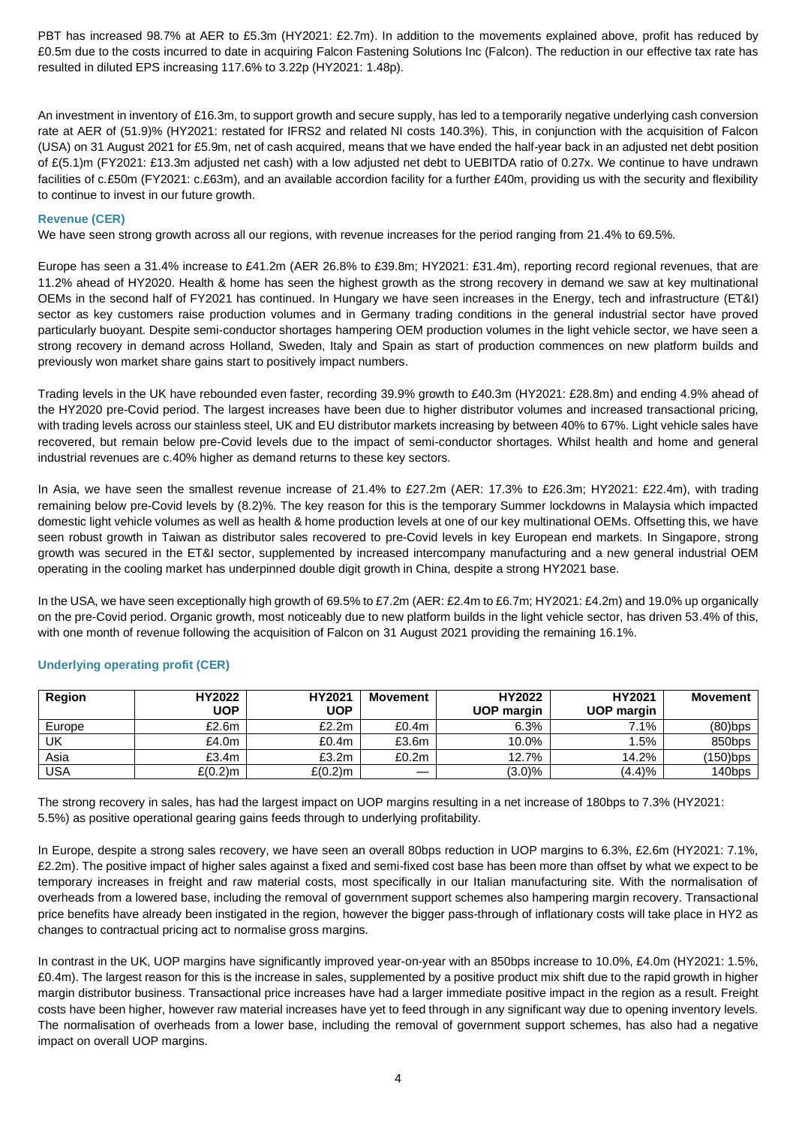PBT has increased 98.7% at AER to £5.3m (HY2021: £2.7m). In addition to the movements explained above, profit has reduced by £0.5m due to the costs incurred to date in acquiring Falcon Fastening Solutions Inc (Falcon). The reduction in our effective tax rate has resulted in diluted EPS increasing 117.6% to 3.22p (HY2021: 1.48p).

An investment in inventory of £16.3m, to support growth and secure supply, has led to a temporarily negative underlying cash conversion rate at AER of (51.9)% (HY2021: restated for IFRS2 and related NI costs 140.3%). This, in conjunction with the acquisition of Falcon (USA) on 31 August 2021 for £5.9m, net of cash acquired, means that we have ended the half-year back in an adjusted net debt position of £(5.1)m (FY2021: £13.3m adjusted net cash) with a low adjusted net debt to UEBITDA ratio of 0.27x. We continue to have undrawn facilities of c.£50m (FY2021: c.£63m), and an available accordion facility for a further £40m, providing us with the security and flexibility to continue to invest in our future growth.

# **Revenue (CER)**

We have seen strong growth across all our regions, with revenue increases for the period ranging from 21.4% to 69.5%.

Europe has seen a 31.4% increase to £41.2m (AER 26.8% to £39.8m; HY2021: £31.4m), reporting record regional revenues, that are 11.2% ahead of HY2020. Health & home has seen the highest growth as the strong recovery in demand we saw at key multinational OEMs in the second half of FY2021 has continued. In Hungary we have seen increases in the Energy, tech and infrastructure (ET&I) sector as key customers raise production volumes and in Germany trading conditions in the general industrial sector have proved particularly buoyant. Despite semi-conductor shortages hampering OEM production volumes in the light vehicle sector, we have seen a strong recovery in demand across Holland, Sweden, Italy and Spain as start of production commences on new platform builds and previously won market share gains start to positively impact numbers.

Trading levels in the UK have rebounded even faster, recording 39.9% growth to £40.3m (HY2021: £28.8m) and ending 4.9% ahead of the HY2020 pre-Covid period. The largest increases have been due to higher distributor volumes and increased transactional pricing, with trading levels across our stainless steel, UK and EU distributor markets increasing by between 40% to 67%. Light vehicle sales have recovered, but remain below pre-Covid levels due to the impact of semi-conductor shortages. Whilst health and home and general industrial revenues are c.40% higher as demand returns to these key sectors.

In Asia, we have seen the smallest revenue increase of 21.4% to £27.2m (AER: 17.3% to £26.3m; HY2021: £22.4m), with trading remaining below pre-Covid levels by (8.2)%. The key reason for this is the temporary Summer lockdowns in Malaysia which impacted domestic light vehicle volumes as well as health & home production levels at one of our key multinational OEMs. Offsetting this, we have seen robust growth in Taiwan as distributor sales recovered to pre-Covid levels in key European end markets. In Singapore, strong growth was secured in the ET&I sector, supplemented by increased intercompany manufacturing and a new general industrial OEM operating in the cooling market has underpinned double digit growth in China, despite a strong HY2021 base.

In the USA, we have seen exceptionally high growth of 69.5% to £7.2m (AER: £2.4m to £6.7m; HY2021: £4.2m) and 19.0% up organically on the pre-Covid period. Organic growth, most noticeably due to new platform builds in the light vehicle sector, has driven 53.4% of this, with one month of revenue following the acquisition of Falcon on 31 August 2021 providing the remaining 16.1%.

| <b>Region</b> | HY2022     | HY2021     | <b>Movement</b> | HY2022            | HY2021            | <b>Movement</b> |
|---------------|------------|------------|-----------------|-------------------|-------------------|-----------------|
|               | <b>UOP</b> | <b>UOP</b> |                 | <b>UOP margin</b> | <b>UOP</b> margin |                 |
| Europe        | £2.6m      | £2.2m      | £0.4m           | 6.3%              | 7.1%              | $(80)$ bps      |
| UK            | £4.0m      | £0.4m      | £3.6m           | 10.0%             | 1.5%              | 850bps          |
| Asia          | £3.4m      | £3.2m      | £0.2m           | 12.7%             | 14.2%             | (150)bps        |
| <b>USA</b>    | £(0.2)m    | $£(0.2)$ m |                 | $(3.0)\%$         | (4.4)%            | $140$ bps       |

# **Underlying operating profit (CER)**

The strong recovery in sales, has had the largest impact on UOP margins resulting in a net increase of 180bps to 7.3% (HY2021: 5.5%) as positive operational gearing gains feeds through to underlying profitability.

In Europe, despite a strong sales recovery, we have seen an overall 80bps reduction in UOP margins to 6.3%, £2.6m (HY2021: 7.1%, £2.2m). The positive impact of higher sales against a fixed and semi-fixed cost base has been more than offset by what we expect to be temporary increases in freight and raw material costs, most specifically in our Italian manufacturing site. With the normalisation of overheads from a lowered base, including the removal of government support schemes also hampering margin recovery. Transactional price benefits have already been instigated in the region, however the bigger pass-through of inflationary costs will take place in HY2 as changes to contractual pricing act to normalise gross margins.

In contrast in the UK, UOP margins have significantly improved year-on-year with an 850bps increase to 10.0%, £4.0m (HY2021: 1.5%, £0.4m). The largest reason for this is the increase in sales, supplemented by a positive product mix shift due to the rapid growth in higher margin distributor business. Transactional price increases have had a larger immediate positive impact in the region as a result. Freight costs have been higher, however raw material increases have yet to feed through in any significant way due to opening inventory levels. The normalisation of overheads from a lower base, including the removal of government support schemes, has also had a negative impact on overall UOP margins.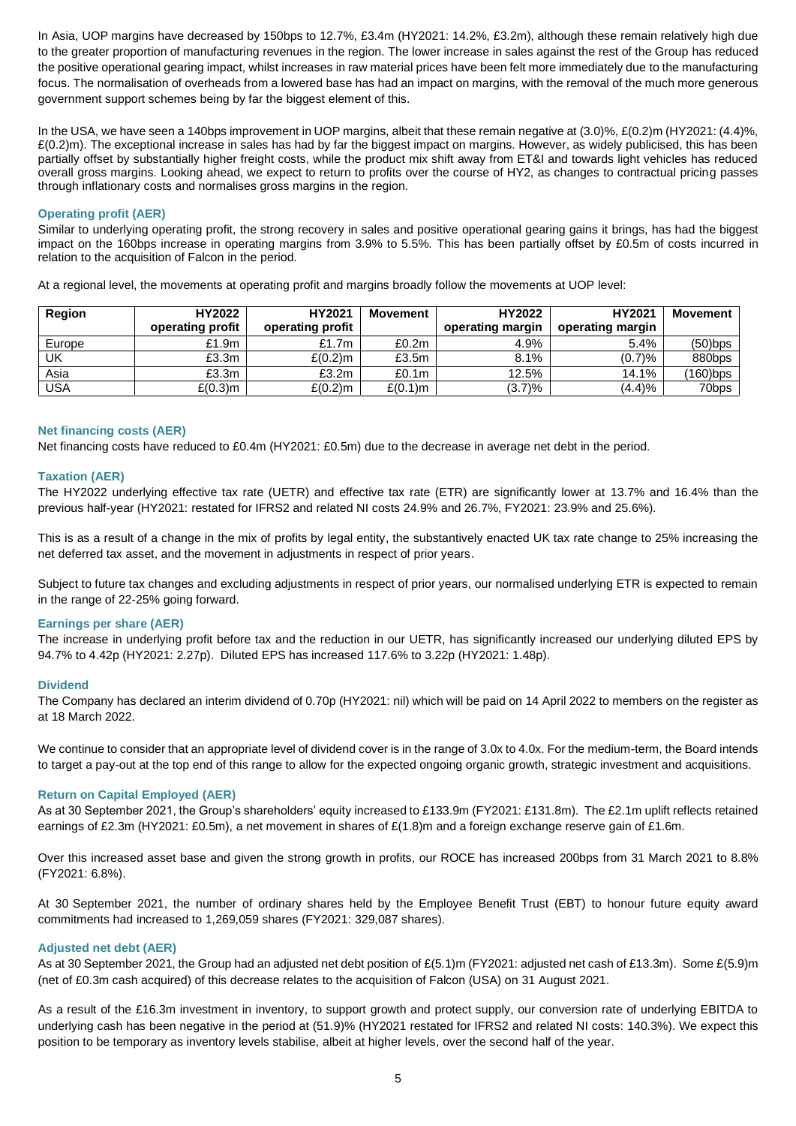In Asia, UOP margins have decreased by 150bps to 12.7%, £3.4m (HY2021: 14.2%, £3.2m), although these remain relatively high due to the greater proportion of manufacturing revenues in the region. The lower increase in sales against the rest of the Group has reduced the positive operational gearing impact, whilst increases in raw material prices have been felt more immediately due to the manufacturing focus. The normalisation of overheads from a lowered base has had an impact on margins, with the removal of the much more generous government support schemes being by far the biggest element of this.

In the USA, we have seen a 140bps improvement in UOP margins, albeit that these remain negative at (3.0)%, £(0.2)m (HY2021: (4.4)%,  $£(0.2)$ m). The exceptional increase in sales has had by far the biggest impact on margins. However, as widely publicised, this has been partially offset by substantially higher freight costs, while the product mix shift away from ET&I and towards light vehicles has reduced overall gross margins. Looking ahead, we expect to return to profits over the course of HY2, as changes to contractual pricing passes through inflationary costs and normalises gross margins in the region.

# **Operating profit (AER)**

Similar to underlying operating profit, the strong recovery in sales and positive operational gearing gains it brings, has had the biggest impact on the 160bps increase in operating margins from 3.9% to 5.5%. This has been partially offset by £0.5m of costs incurred in relation to the acquisition of Falcon in the period.

At a regional level, the movements at operating profit and margins broadly follow the movements at UOP level:

| Region     | HY2022           | HY2021           | <b>Movement</b>   | HY2022           | HY2021           | <b>Movement</b> |
|------------|------------------|------------------|-------------------|------------------|------------------|-----------------|
|            | operating profit | operating profit |                   | operating margin | operating margin |                 |
| Europe     | £1.9m            | £1.7m            | £0.2m             | 4.9%             | 5.4%             | $(50)$ bps      |
| UK         | £3.3m            | $£(0,2)$ m       | £3.5m             | 8.1%             | (0.7)%           | 880bps          |
| Asia       | £3.3m            | £3.2m            | £0.1 <sub>m</sub> | 12.5%            | 14.1%            | $(160)$ bps     |
| <b>USA</b> | $E(0.3)$ m       | $£(0.2)$ m       | $£(0.1)$ m        | (3.7)%           | (4.4)%           | 70bps           |

#### **Net financing costs (AER)**

Net financing costs have reduced to £0.4m (HY2021: £0.5m) due to the decrease in average net debt in the period.

### **Taxation (AER)**

The HY2022 underlying effective tax rate (UETR) and effective tax rate (ETR) are significantly lower at 13.7% and 16.4% than the previous half-year (HY2021: restated for IFRS2 and related NI costs 24.9% and 26.7%, FY2021: 23.9% and 25.6%).

This is as a result of a change in the mix of profits by legal entity, the substantively enacted UK tax rate change to 25% increasing the net deferred tax asset, and the movement in adjustments in respect of prior years.

Subject to future tax changes and excluding adjustments in respect of prior years, our normalised underlying ETR is expected to remain in the range of 22-25% going forward.

### **Earnings per share (AER)**

The increase in underlying profit before tax and the reduction in our UETR, has significantly increased our underlying diluted EPS by 94.7% to 4.42p (HY2021: 2.27p). Diluted EPS has increased 117.6% to 3.22p (HY2021: 1.48p).

#### **Dividend**

The Company has declared an interim dividend of 0.70p (HY2021: nil) which will be paid on 14 April 2022 to members on the register as at 18 March 2022.

We continue to consider that an appropriate level of dividend cover is in the range of 3.0x to 4.0x. For the medium-term, the Board intends to target a pay-out at the top end of this range to allow for the expected ongoing organic growth, strategic investment and acquisitions.

#### **Return on Capital Employed (AER)**

As at 30 September 2021, the Group's shareholders' equity increased to £133.9m (FY2021: £131.8m). The £2.1m uplift reflects retained earnings of £2.3m (HY2021: £0.5m), a net movement in shares of £(1.8)m and a foreign exchange reserve gain of £1.6m.

Over this increased asset base and given the strong growth in profits, our ROCE has increased 200bps from 31 March 2021 to 8.8% (FY2021: 6.8%).

At 30 September 2021, the number of ordinary shares held by the Employee Benefit Trust (EBT) to honour future equity award commitments had increased to 1,269,059 shares (FY2021: 329,087 shares).

#### **Adjusted net debt (AER)**

As at 30 September 2021, the Group had an adjusted net debt position of £(5.1)m (FY2021: adjusted net cash of £13.3m). Some £(5.9)m (net of £0.3m cash acquired) of this decrease relates to the acquisition of Falcon (USA) on 31 August 2021.

As a result of the £16.3m investment in inventory, to support growth and protect supply, our conversion rate of underlying EBITDA to underlying cash has been negative in the period at (51.9)% (HY2021 restated for IFRS2 and related NI costs: 140.3%). We expect this position to be temporary as inventory levels stabilise, albeit at higher levels, over the second half of the year.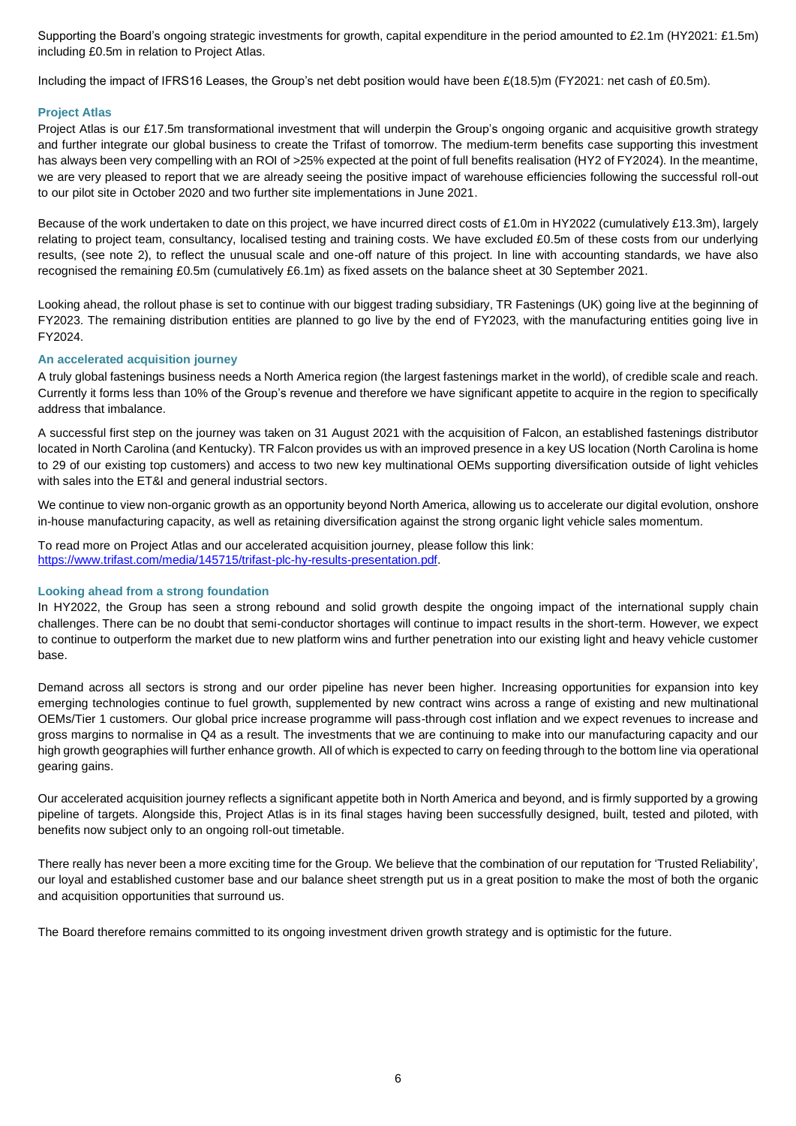Supporting the Board's ongoing strategic investments for growth, capital expenditure in the period amounted to £2.1m (HY2021: £1.5m) including £0.5m in relation to Project Atlas.

Including the impact of IFRS16 Leases, the Group's net debt position would have been £(18.5)m (FY2021: net cash of £0.5m).

### **Project Atlas**

Project Atlas is our £17.5m transformational investment that will underpin the Group's ongoing organic and acquisitive growth strategy and further integrate our global business to create the Trifast of tomorrow. The medium-term benefits case supporting this investment has always been very compelling with an ROI of >25% expected at the point of full benefits realisation (HY2 of FY2024). In the meantime, we are very pleased to report that we are already seeing the positive impact of warehouse efficiencies following the successful roll-out to our pilot site in October 2020 and two further site implementations in June 2021.

Because of the work undertaken to date on this project, we have incurred direct costs of £1.0m in HY2022 (cumulatively £13.3m), largely relating to project team, consultancy, localised testing and training costs. We have excluded £0.5m of these costs from our underlying results, (see note 2), to reflect the unusual scale and one-off nature of this project. In line with accounting standards, we have also recognised the remaining £0.5m (cumulatively £6.1m) as fixed assets on the balance sheet at 30 September 2021.

Looking ahead, the rollout phase is set to continue with our biggest trading subsidiary, TR Fastenings (UK) going live at the beginning of FY2023. The remaining distribution entities are planned to go live by the end of FY2023, with the manufacturing entities going live in FY2024.

### **An accelerated acquisition journey**

A truly global fastenings business needs a North America region (the largest fastenings market in the world), of credible scale and reach. Currently it forms less than 10% of the Group's revenue and therefore we have significant appetite to acquire in the region to specifically address that imbalance.

A successful first step on the journey was taken on 31 August 2021 with the acquisition of Falcon, an established fastenings distributor located in North Carolina (and Kentucky). TR Falcon provides us with an improved presence in a key US location (North Carolina is home to 29 of our existing top customers) and access to two new key multinational OEMs supporting diversification outside of light vehicles with sales into the ET&I and general industrial sectors.

We continue to view non-organic growth as an opportunity beyond North America, allowing us to accelerate our digital evolution, onshore in-house manufacturing capacity, as well as retaining diversification against the strong organic light vehicle sales momentum.

To read more on Project Atlas and our accelerated acquisition journey, please follow this link: [https://www.trifast.com/media/145715/trifast-plc-hy-results-presentation.pdf.](https://www.trifast.com/media/145715/trifast-plc-hy-results-presentation.pdf)

#### **Looking ahead from a strong foundation**

In HY2022, the Group has seen a strong rebound and solid growth despite the ongoing impact of the international supply chain challenges. There can be no doubt that semi-conductor shortages will continue to impact results in the short-term. However, we expect to continue to outperform the market due to new platform wins and further penetration into our existing light and heavy vehicle customer base.

Demand across all sectors is strong and our order pipeline has never been higher. Increasing opportunities for expansion into key emerging technologies continue to fuel growth, supplemented by new contract wins across a range of existing and new multinational OEMs/Tier 1 customers. Our global price increase programme will pass-through cost inflation and we expect revenues to increase and gross margins to normalise in Q4 as a result. The investments that we are continuing to make into our manufacturing capacity and our high growth geographies will further enhance growth. All of which is expected to carry on feeding through to the bottom line via operational gearing gains.

Our accelerated acquisition journey reflects a significant appetite both in North America and beyond, and is firmly supported by a growing pipeline of targets. Alongside this, Project Atlas is in its final stages having been successfully designed, built, tested and piloted, with benefits now subject only to an ongoing roll-out timetable.

There really has never been a more exciting time for the Group. We believe that the combination of our reputation for 'Trusted Reliability', our loyal and established customer base and our balance sheet strength put us in a great position to make the most of both the organic and acquisition opportunities that surround us.

The Board therefore remains committed to its ongoing investment driven growth strategy and is optimistic for the future.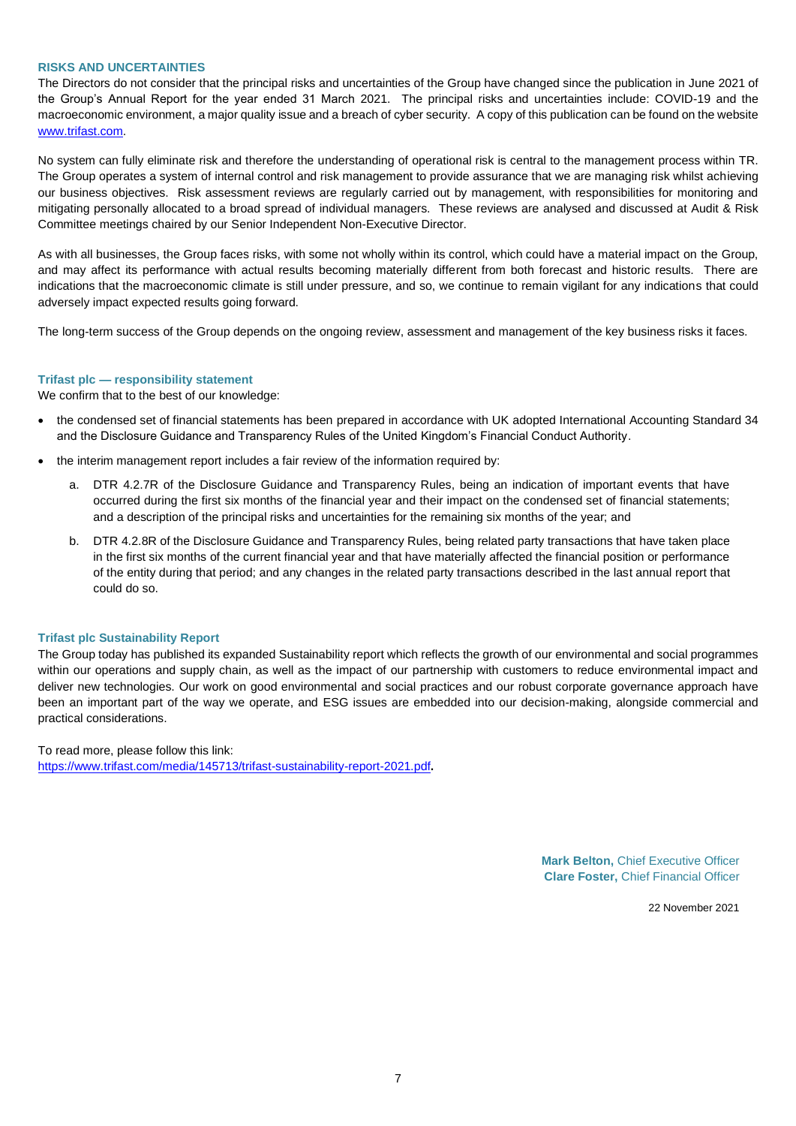#### **RISKS AND UNCERTAINTIES**

The Directors do not consider that the principal risks and uncertainties of the Group have changed since the publication in June 2021 of the Group's Annual Report for the year ended 31 March 2021. The principal risks and uncertainties include: COVID-19 and the macroeconomic environment, a major quality issue and a breach of cyber security. A copy of this publication can be found on the website [www.trifast.com.](http://www.trifast.com/)

No system can fully eliminate risk and therefore the understanding of operational risk is central to the management process within TR. The Group operates a system of internal control and risk management to provide assurance that we are managing risk whilst achieving our business objectives. Risk assessment reviews are regularly carried out by management, with responsibilities for monitoring and mitigating personally allocated to a broad spread of individual managers. These reviews are analysed and discussed at Audit & Risk Committee meetings chaired by our Senior Independent Non-Executive Director.

As with all businesses, the Group faces risks, with some not wholly within its control, which could have a material impact on the Group, and may affect its performance with actual results becoming materially different from both forecast and historic results. There are indications that the macroeconomic climate is still under pressure, and so, we continue to remain vigilant for any indications that could adversely impact expected results going forward.

The long-term success of the Group depends on the ongoing review, assessment and management of the key business risks it faces.

#### **Trifast plc — responsibility statement**

We confirm that to the best of our knowledge:

- the condensed set of financial statements has been prepared in accordance with UK adopted International Accounting Standard 34 and the Disclosure Guidance and Transparency Rules of the United Kingdom's Financial Conduct Authority.
- the interim management report includes a fair review of the information required by:
	- a. DTR 4.2.7R of the Disclosure Guidance and Transparency Rules, being an indication of important events that have occurred during the first six months of the financial year and their impact on the condensed set of financial statements; and a description of the principal risks and uncertainties for the remaining six months of the year; and
	- b. DTR 4.2.8R of the Disclosure Guidance and Transparency Rules, being related party transactions that have taken place in the first six months of the current financial year and that have materially affected the financial position or performance of the entity during that period; and any changes in the related party transactions described in the last annual report that could do so.

#### **Trifast plc Sustainability Report**

The Group today has published its expanded Sustainability report which reflects the growth of our environmental and social programmes within our operations and supply chain, as well as the impact of our partnership with customers to reduce environmental impact and deliver new technologies. Our work on good environmental and social practices and our robust corporate governance approach have been an important part of the way we operate, and ESG issues are embedded into our decision-making, alongside commercial and practical considerations.

To read more, please follow this link: <https://www.trifast.com/media/145713/trifast-sustainability-report-2021.pdf>**.**

> **Mark Belton,** Chief Executive Officer **Clare Foster,** Chief Financial Officer

> > 22 November 2021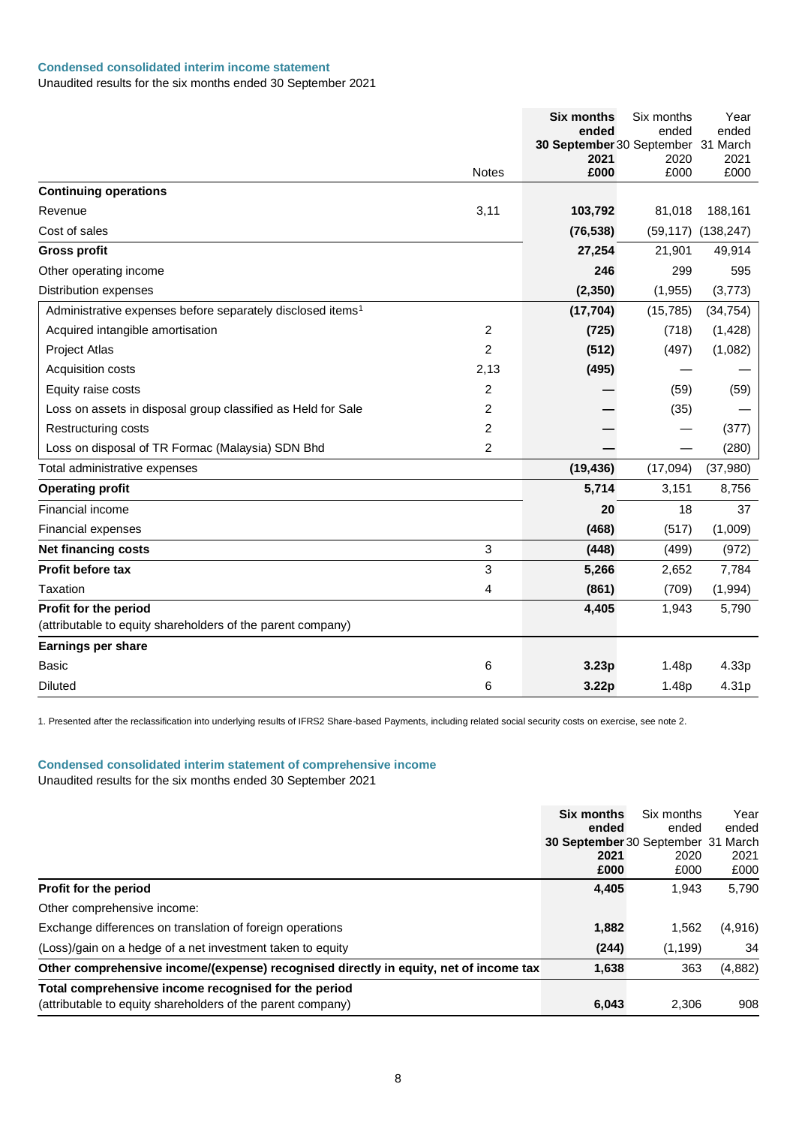# **Condensed consolidated interim income statement**

Unaudited results for the six months ended 30 September 2021

|                                                                        |                | <b>Six months</b><br>ended         | Six months<br>ended | Year<br>ended |
|------------------------------------------------------------------------|----------------|------------------------------------|---------------------|---------------|
|                                                                        |                | 30 September 30 September 31 March |                     |               |
|                                                                        |                | 2021                               | 2020                | 2021          |
|                                                                        | <b>Notes</b>   | £000                               | £000                | £000          |
| <b>Continuing operations</b>                                           |                |                                    |                     |               |
| Revenue                                                                | 3,11           | 103,792                            | 81,018              | 188,161       |
| Cost of sales                                                          |                | (76, 538)                          | (59, 117)           | (138, 247)    |
| <b>Gross profit</b>                                                    |                | 27,254                             | 21,901              | 49,914        |
| Other operating income                                                 |                | 246                                | 299                 | 595           |
| <b>Distribution expenses</b>                                           |                | (2, 350)                           | (1,955)             | (3,773)       |
| Administrative expenses before separately disclosed items <sup>1</sup> |                | (17, 704)                          | (15, 785)           | (34, 754)     |
| Acquired intangible amortisation                                       | $\overline{2}$ | (725)                              | (718)               | (1,428)       |
| Project Atlas                                                          | $\overline{2}$ | (512)                              | (497)               | (1,082)       |
| Acquisition costs                                                      | 2,13           | (495)                              |                     |               |
| Equity raise costs                                                     | $\overline{2}$ |                                    | (59)                | (59)          |
| Loss on assets in disposal group classified as Held for Sale           | 2              |                                    | (35)                |               |
| Restructuring costs                                                    | 2              |                                    |                     | (377)         |
| Loss on disposal of TR Formac (Malaysia) SDN Bhd                       | $\overline{2}$ |                                    |                     | (280)         |
| Total administrative expenses                                          |                | (19, 436)                          | (17,094)            | (37,980)      |
| <b>Operating profit</b>                                                |                | 5,714                              | 3,151               | 8,756         |
| Financial income                                                       |                | 20                                 | 18                  | 37            |
| <b>Financial expenses</b>                                              |                | (468)                              | (517)               | (1,009)       |
| <b>Net financing costs</b>                                             | 3              | (448)                              | (499)               | (972)         |
| <b>Profit before tax</b>                                               | 3              | 5,266                              | 2,652               | 7,784         |
| Taxation                                                               | 4              | (861)                              | (709)               | (1,994)       |
| Profit for the period                                                  |                | 4,405                              | 1,943               | 5,790         |
| (attributable to equity shareholders of the parent company)            |                |                                    |                     |               |
| Earnings per share                                                     |                |                                    |                     |               |
| <b>Basic</b>                                                           | 6              | 3.23p                              | 1.48p               | 4.33p         |
| <b>Diluted</b>                                                         | 6              | 3.22p                              | 1.48p               | 4.31p         |

1. Presented after the reclassification into underlying results of IFRS2 Share-based Payments, including related social security costs on exercise, see note 2.

# **Condensed consolidated interim statement of comprehensive income**

|                                                                                       | Six months<br>ended<br>30 September 30 September 31 March<br>2021<br>£000 | Six months<br>ended<br>2020<br>£000 | Year<br>ended<br>2021<br>£000 |
|---------------------------------------------------------------------------------------|---------------------------------------------------------------------------|-------------------------------------|-------------------------------|
| Profit for the period                                                                 | 4,405                                                                     | 1,943                               | 5,790                         |
| Other comprehensive income:                                                           |                                                                           |                                     |                               |
| Exchange differences on translation of foreign operations                             | 1,882                                                                     | 1,562                               | (4,916)                       |
| (Loss)/gain on a hedge of a net investment taken to equity                            | (244)                                                                     | (1, 199)                            | 34                            |
| Other comprehensive income/(expense) recognised directly in equity, net of income tax | 1,638                                                                     | 363                                 | (4,882)                       |
| Total comprehensive income recognised for the period                                  |                                                                           |                                     |                               |
| (attributable to equity shareholders of the parent company)                           | 6,043                                                                     | 2,306                               | 908                           |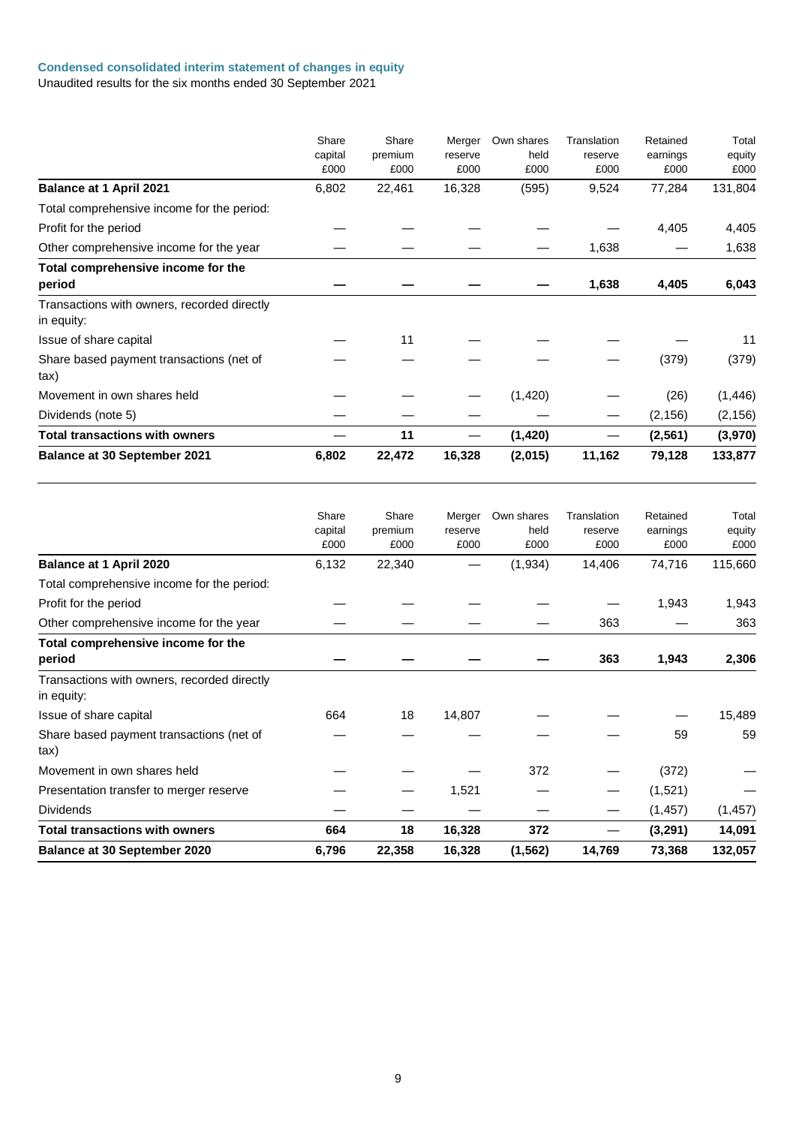### **Condensed consolidated interim statement of changes in equity**

|                                                           | Share<br>capital<br>£000 | Share<br>premium<br>£000 | Merger<br>reserve<br>£000 | Own shares<br>held<br>£000 | Translation<br>reserve<br>£000 | Retained<br>earnings<br>£000 | Total<br>equity<br>£000 |
|-----------------------------------------------------------|--------------------------|--------------------------|---------------------------|----------------------------|--------------------------------|------------------------------|-------------------------|
| <b>Balance at 1 April 2021</b>                            | 6,802                    | 22,461                   | 16,328                    | (595)                      | 9,524                          | 77,284                       | 131,804                 |
| Total comprehensive income for the period:                |                          |                          |                           |                            |                                |                              |                         |
| Profit for the period                                     |                          |                          |                           |                            |                                | 4,405                        | 4,405                   |
| Other comprehensive income for the year                   |                          |                          |                           |                            | 1,638                          |                              | 1,638                   |
| Total comprehensive income for the<br>period              |                          |                          |                           |                            | 1,638                          | 4,405                        | 6,043                   |
| Transactions with owners, recorded directly<br>in equity: |                          |                          |                           |                            |                                |                              |                         |
| Issue of share capital                                    |                          | 11                       |                           |                            |                                |                              | 11                      |
| Share based payment transactions (net of<br>tax)          |                          |                          |                           |                            |                                | (379)                        | (379)                   |
| Movement in own shares held                               |                          |                          |                           | (1, 420)                   |                                | (26)                         | (1, 446)                |
| Dividends (note 5)                                        |                          |                          |                           |                            |                                | (2, 156)                     | (2, 156)                |
| Total transactions with owners                            |                          | 11                       |                           | (1, 420)                   |                                | (2, 561)                     | (3,970)                 |
| <b>Balance at 30 September 2021</b>                       | 6,802                    | 22,472                   | 16,328                    | (2,015)                    | 11,162                         | 79,128                       | 133,877                 |

|                                             | Share   | Share   | Merger  | Own shares | Translation | Retained | Total    |
|---------------------------------------------|---------|---------|---------|------------|-------------|----------|----------|
|                                             | capital | premium | reserve | held       | reserve     | earnings | equity   |
|                                             | £000    | £000    | £000    | £000       | £000        | £000     | £000     |
| Balance at 1 April 2020                     | 6,132   | 22,340  |         | (1,934)    | 14,406      | 74,716   | 115,660  |
| Total comprehensive income for the period:  |         |         |         |            |             |          |          |
| Profit for the period                       |         |         |         |            |             | 1,943    | 1,943    |
| Other comprehensive income for the year     |         |         |         |            | 363         |          | 363      |
| Total comprehensive income for the          |         |         |         |            |             |          |          |
| period                                      |         |         |         |            | 363         | 1,943    | 2,306    |
| Transactions with owners, recorded directly |         |         |         |            |             |          |          |
| in equity:                                  |         |         |         |            |             |          |          |
| Issue of share capital                      | 664     | 18      | 14,807  |            |             |          | 15,489   |
| Share based payment transactions (net of    |         |         |         |            |             | 59       | 59       |
| tax)                                        |         |         |         |            |             |          |          |
| Movement in own shares held                 |         |         |         | 372        |             | (372)    |          |
| Presentation transfer to merger reserve     |         |         | 1,521   |            |             | (1,521)  |          |
| <b>Dividends</b>                            |         |         |         |            |             | (1, 457) | (1, 457) |
| <b>Total transactions with owners</b>       | 664     | 18      | 16,328  | 372        |             | (3,291)  | 14,091   |
| <b>Balance at 30 September 2020</b>         | 6,796   | 22,358  | 16,328  | (1, 562)   | 14,769      | 73,368   | 132,057  |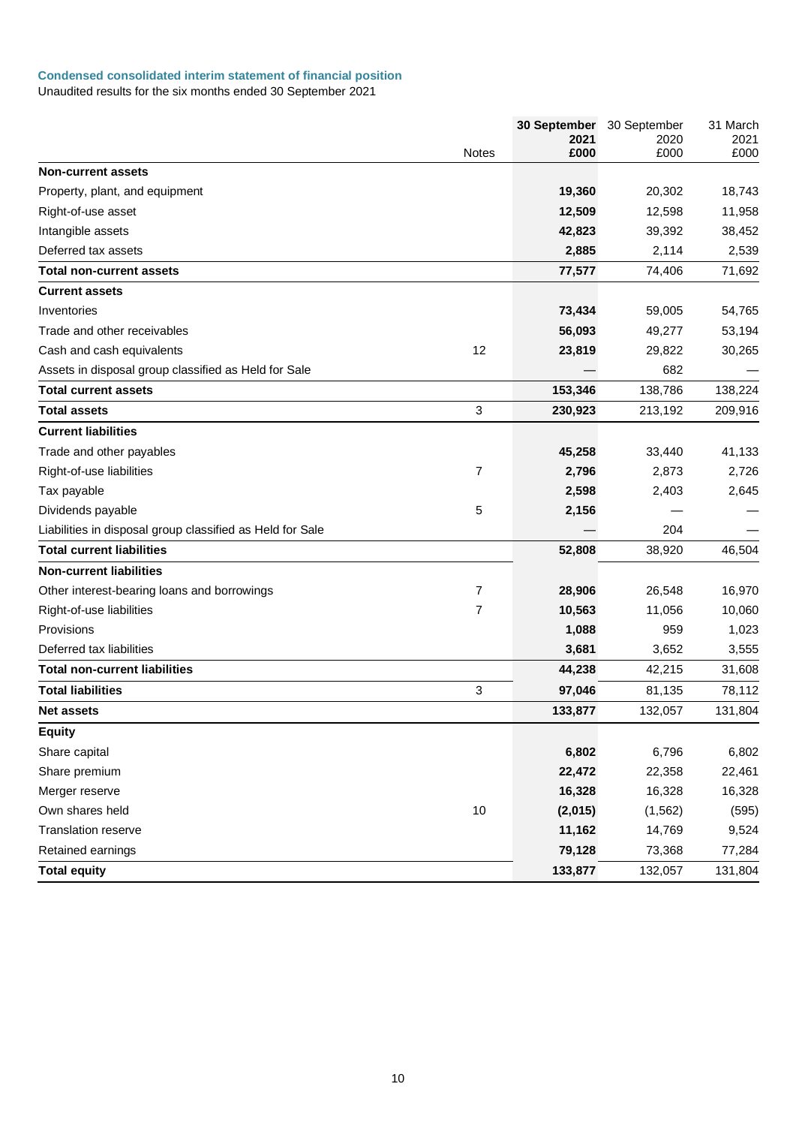### **Condensed consolidated interim statement of financial position**

|                                                           |              | 30 September<br>2021 | 30 September<br>2020 | 31 March<br>2021 |
|-----------------------------------------------------------|--------------|----------------------|----------------------|------------------|
|                                                           | <b>Notes</b> | £000                 | £000                 | £000             |
| <b>Non-current assets</b>                                 |              |                      |                      |                  |
| Property, plant, and equipment                            |              | 19,360               | 20,302               | 18,743           |
| Right-of-use asset                                        |              | 12,509               | 12,598               | 11,958           |
| Intangible assets                                         |              | 42,823               | 39,392               | 38,452           |
| Deferred tax assets                                       |              | 2,885                | 2,114                | 2,539            |
| Total non-current assets                                  |              | 77,577               | 74,406               | 71,692           |
| <b>Current assets</b>                                     |              |                      |                      |                  |
| Inventories                                               |              | 73,434               | 59,005               | 54,765           |
| Trade and other receivables                               |              | 56,093               | 49,277               | 53,194           |
| Cash and cash equivalents                                 | 12           | 23,819               | 29,822               | 30,265           |
| Assets in disposal group classified as Held for Sale      |              |                      | 682                  |                  |
| <b>Total current assets</b>                               |              | 153,346              | 138,786              | 138,224          |
| <b>Total assets</b>                                       | 3            | 230,923              | 213,192              | 209,916          |
| <b>Current liabilities</b>                                |              |                      |                      |                  |
| Trade and other payables                                  |              | 45,258               | 33,440               | 41,133           |
| Right-of-use liabilities                                  | 7            | 2,796                | 2,873                | 2,726            |
| Tax payable                                               |              | 2,598                | 2,403                | 2,645            |
| Dividends payable                                         | 5            | 2,156                |                      |                  |
| Liabilities in disposal group classified as Held for Sale |              |                      | 204                  |                  |
| <b>Total current liabilities</b>                          |              | 52,808               | 38,920               | 46,504           |
| <b>Non-current liabilities</b>                            |              |                      |                      |                  |
| Other interest-bearing loans and borrowings               | 7            | 28,906               | 26,548               | 16,970           |
| Right-of-use liabilities                                  | 7            | 10,563               | 11,056               | 10,060           |
| Provisions                                                |              | 1,088                | 959                  | 1,023            |
| Deferred tax liabilities                                  |              | 3,681                | 3,652                | 3,555            |
| <b>Total non-current liabilities</b>                      |              | 44,238               | 42,215               | 31,608           |
| <b>Total liabilities</b>                                  | 3            | 97,046               | 81,135               | 78,112           |
| <b>Net assets</b>                                         |              | 133,877              | 132,057              | 131,804          |
| <b>Equity</b>                                             |              |                      |                      |                  |
| Share capital                                             |              | 6,802                | 6,796                | 6,802            |
| Share premium                                             |              | 22,472               | 22,358               | 22,461           |
| Merger reserve                                            |              | 16,328               | 16,328               | 16,328           |
| Own shares held                                           | $10$         | (2,015)              | (1, 562)             | (595)            |
| Translation reserve                                       |              | 11,162               | 14,769               | 9,524            |
| Retained earnings                                         |              | 79,128               | 73,368               | 77,284           |
| <b>Total equity</b>                                       |              | 133,877              | 132,057              | 131,804          |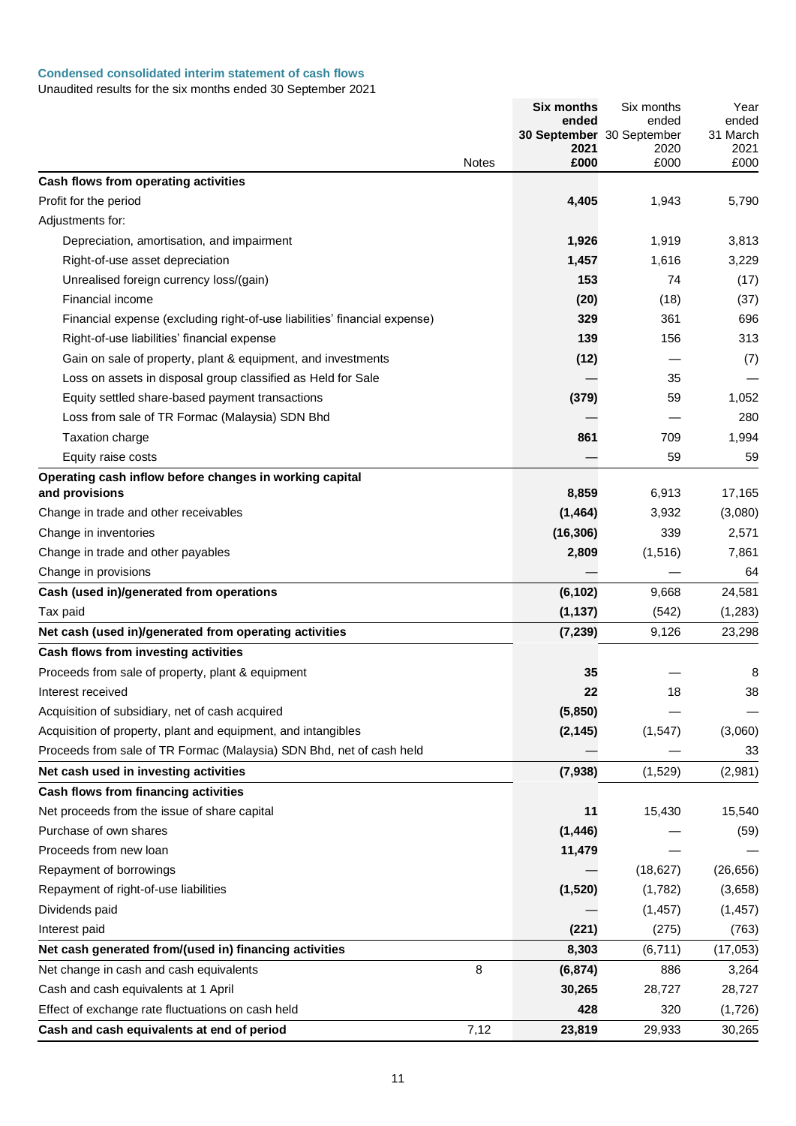# **Condensed consolidated interim statement of cash flows**

|                                                                           |              | <b>Six months</b><br>ended | Six months<br>ended       | Year<br>ended      |
|---------------------------------------------------------------------------|--------------|----------------------------|---------------------------|--------------------|
|                                                                           |              |                            | 30 September 30 September | 31 March           |
|                                                                           | <b>Notes</b> | 2021<br>£000               | 2020<br>£000              | 2021<br>£000       |
| Cash flows from operating activities                                      |              |                            |                           |                    |
| Profit for the period                                                     |              | 4,405                      | 1,943                     | 5,790              |
| Adjustments for:                                                          |              |                            |                           |                    |
| Depreciation, amortisation, and impairment                                |              | 1,926                      | 1,919                     | 3,813              |
| Right-of-use asset depreciation                                           |              | 1,457                      | 1,616                     | 3,229              |
| Unrealised foreign currency loss/(gain)                                   |              | 153                        | 74                        | (17)               |
| Financial income                                                          |              | (20)                       | (18)                      | (37)               |
| Financial expense (excluding right-of-use liabilities' financial expense) |              | 329                        | 361                       | 696                |
| Right-of-use liabilities' financial expense                               |              | 139                        | 156                       | 313                |
| Gain on sale of property, plant & equipment, and investments              |              | (12)                       |                           | (7)                |
| Loss on assets in disposal group classified as Held for Sale              |              |                            | 35                        |                    |
| Equity settled share-based payment transactions                           |              | (379)                      | 59                        | 1,052              |
| Loss from sale of TR Formac (Malaysia) SDN Bhd                            |              |                            |                           | 280                |
| <b>Taxation charge</b>                                                    |              | 861                        | 709                       | 1,994              |
| Equity raise costs                                                        |              |                            | 59                        | 59                 |
| Operating cash inflow before changes in working capital                   |              |                            |                           |                    |
| and provisions                                                            |              | 8,859                      | 6,913                     | 17,165             |
| Change in trade and other receivables                                     |              | (1, 464)                   | 3,932                     | (3,080)            |
| Change in inventories                                                     |              | (16, 306)                  | 339                       | 2,571              |
| Change in trade and other payables                                        |              | 2,809                      | (1,516)                   | 7,861              |
| Change in provisions                                                      |              |                            |                           | 64                 |
| Cash (used in)/generated from operations                                  |              | (6, 102)                   | 9,668                     | 24,581             |
| Tax paid<br>Net cash (used in)/generated from operating activities        |              | (1, 137)                   | (542)                     | (1, 283)<br>23,298 |
| Cash flows from investing activities                                      |              | (7, 239)                   | 9,126                     |                    |
| Proceeds from sale of property, plant & equipment                         |              | 35                         |                           | 8                  |
| Interest received                                                         |              | 22                         | 18                        | 38                 |
| Acquisition of subsidiary, net of cash acquired                           |              | (5,850)                    |                           |                    |
| Acquisition of property, plant and equipment, and intangibles             |              | (2, 145)                   | (1, 547)                  | (3,060)            |
| Proceeds from sale of TR Formac (Malaysia) SDN Bhd, net of cash held      |              |                            |                           | 33                 |
| Net cash used in investing activities                                     |              | (7,938)                    | (1,529)                   | (2,981)            |
| Cash flows from financing activities                                      |              |                            |                           |                    |
| Net proceeds from the issue of share capital                              |              | 11                         | 15,430                    | 15,540             |
| Purchase of own shares                                                    |              | (1, 446)                   |                           | (59)               |
| Proceeds from new loan                                                    |              | 11,479                     |                           |                    |
| Repayment of borrowings                                                   |              |                            | (18, 627)                 | (26, 656)          |
| Repayment of right-of-use liabilities                                     |              | (1,520)                    | (1,782)                   | (3,658)            |
| Dividends paid                                                            |              |                            | (1, 457)                  | (1, 457)           |
| Interest paid                                                             |              | (221)                      | (275)                     | (763)              |
| Net cash generated from/(used in) financing activities                    |              | 8,303                      | (6, 711)                  | (17,053)           |
| Net change in cash and cash equivalents                                   | 8            | (6, 874)                   | 886                       | 3,264              |
| Cash and cash equivalents at 1 April                                      |              | 30,265                     | 28,727                    | 28,727             |
| Effect of exchange rate fluctuations on cash held                         |              | 428                        | 320                       | (1,726)            |
| Cash and cash equivalents at end of period                                | 7,12         | 23,819                     | 29,933                    | 30,265             |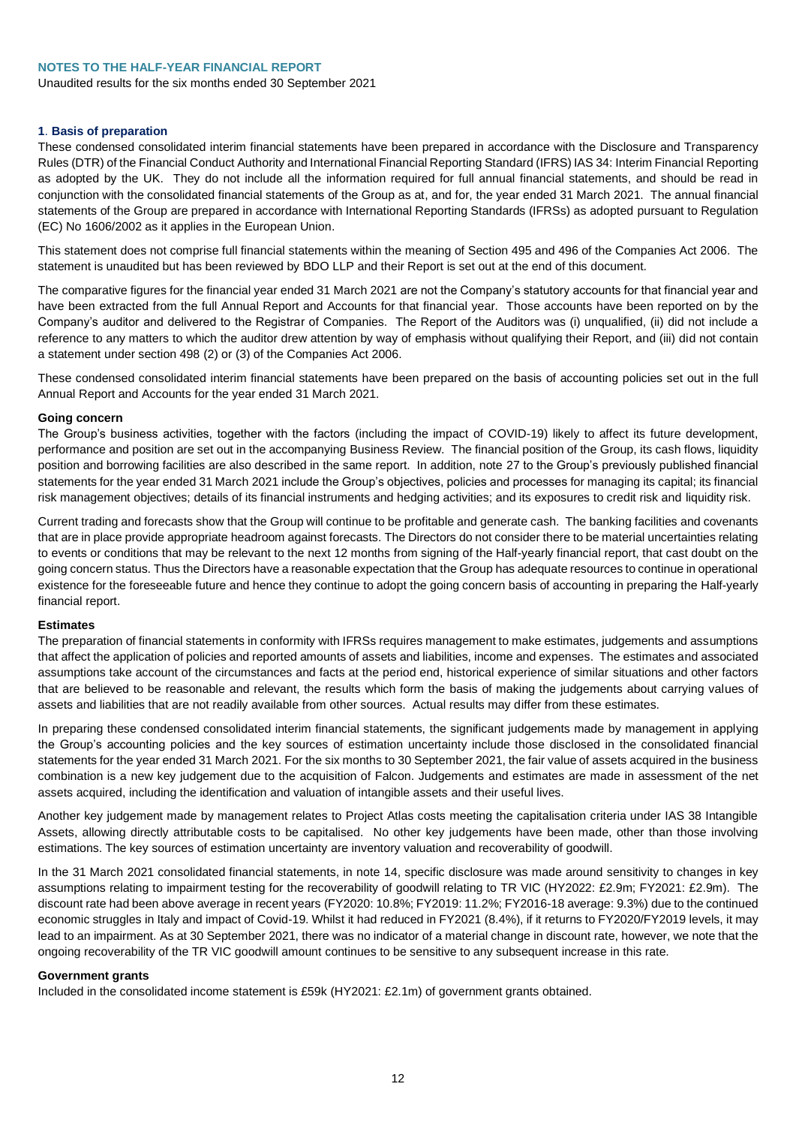### **NOTES TO THE HALF-YEAR FINANCIAL REPORT**

Unaudited results for the six months ended 30 September 2021

### **1**. **Basis of preparation**

These condensed consolidated interim financial statements have been prepared in accordance with the Disclosure and Transparency Rules (DTR) of the Financial Conduct Authority and International Financial Reporting Standard (IFRS) IAS 34: Interim Financial Reporting as adopted by the UK. They do not include all the information required for full annual financial statements, and should be read in conjunction with the consolidated financial statements of the Group as at, and for, the year ended 31 March 2021. The annual financial statements of the Group are prepared in accordance with International Reporting Standards (IFRSs) as adopted pursuant to Regulation (EC) No 1606/2002 as it applies in the European Union.

This statement does not comprise full financial statements within the meaning of Section 495 and 496 of the Companies Act 2006. The statement is unaudited but has been reviewed by BDO LLP and their Report is set out at the end of this document.

The comparative figures for the financial year ended 31 March 2021 are not the Company's statutory accounts for that financial year and have been extracted from the full Annual Report and Accounts for that financial year. Those accounts have been reported on by the Company's auditor and delivered to the Registrar of Companies. The Report of the Auditors was (i) unqualified, (ii) did not include a reference to any matters to which the auditor drew attention by way of emphasis without qualifying their Report, and (iii) did not contain a statement under section 498 (2) or (3) of the Companies Act 2006.

These condensed consolidated interim financial statements have been prepared on the basis of accounting policies set out in the full Annual Report and Accounts for the year ended 31 March 2021.

#### **Going concern**

The Group's business activities, together with the factors (including the impact of COVID-19) likely to affect its future development, performance and position are set out in the accompanying Business Review. The financial position of the Group, its cash flows, liquidity position and borrowing facilities are also described in the same report. In addition, note 27 to the Group's previously published financial statements for the year ended 31 March 2021 include the Group's objectives, policies and processes for managing its capital; its financial risk management objectives; details of its financial instruments and hedging activities; and its exposures to credit risk and liquidity risk.

Current trading and forecasts show that the Group will continue to be profitable and generate cash. The banking facilities and covenants that are in place provide appropriate headroom against forecasts. The Directors do not consider there to be material uncertainties relating to events or conditions that may be relevant to the next 12 months from signing of the Half-yearly financial report, that cast doubt on the going concern status. Thus the Directors have a reasonable expectation that the Group has adequate resources to continue in operational existence for the foreseeable future and hence they continue to adopt the going concern basis of accounting in preparing the Half-yearly financial report.

#### **Estimates**

The preparation of financial statements in conformity with IFRSs requires management to make estimates, judgements and assumptions that affect the application of policies and reported amounts of assets and liabilities, income and expenses. The estimates and associated assumptions take account of the circumstances and facts at the period end, historical experience of similar situations and other factors that are believed to be reasonable and relevant, the results which form the basis of making the judgements about carrying values of assets and liabilities that are not readily available from other sources. Actual results may differ from these estimates.

In preparing these condensed consolidated interim financial statements, the significant judgements made by management in applying the Group's accounting policies and the key sources of estimation uncertainty include those disclosed in the consolidated financial statements for the year ended 31 March 2021. For the six months to 30 September 2021, the fair value of assets acquired in the business combination is a new key judgement due to the acquisition of Falcon. Judgements and estimates are made in assessment of the net assets acquired, including the identification and valuation of intangible assets and their useful lives.

Another key judgement made by management relates to Project Atlas costs meeting the capitalisation criteria under IAS 38 Intangible Assets, allowing directly attributable costs to be capitalised. No other key judgements have been made, other than those involving estimations. The key sources of estimation uncertainty are inventory valuation and recoverability of goodwill.

In the 31 March 2021 consolidated financial statements, in note 14, specific disclosure was made around sensitivity to changes in key assumptions relating to impairment testing for the recoverability of goodwill relating to TR VIC (HY2022: £2.9m; FY2021: £2.9m). The discount rate had been above average in recent years (FY2020: 10.8%; FY2019: 11.2%; FY2016-18 average: 9.3%) due to the continued economic struggles in Italy and impact of Covid-19. Whilst it had reduced in FY2021 (8.4%), if it returns to FY2020/FY2019 levels, it may lead to an impairment. As at 30 September 2021, there was no indicator of a material change in discount rate, however, we note that the ongoing recoverability of the TR VIC goodwill amount continues to be sensitive to any subsequent increase in this rate.

### **Government grants**

Included in the consolidated income statement is £59k (HY2021: £2.1m) of government grants obtained.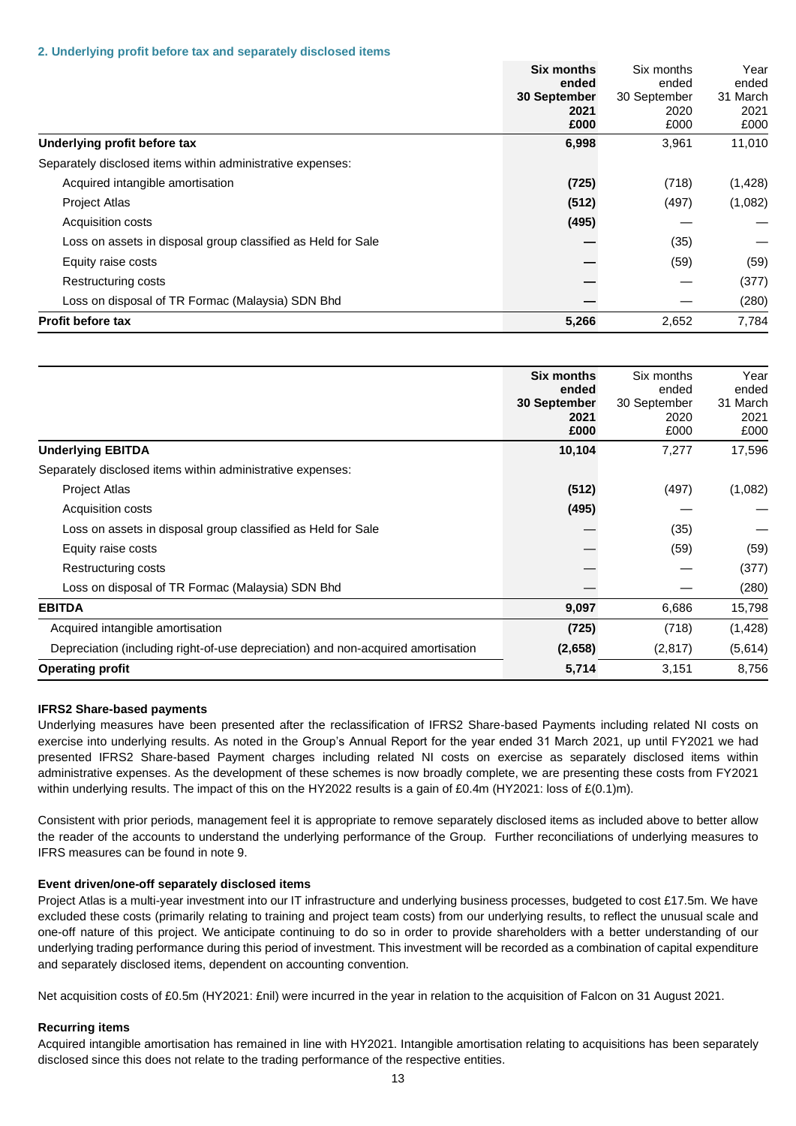#### **2. Underlying profit before tax and separately disclosed items**

|                                                              | <b>Six months</b><br>ended<br>30 September<br>2021 | Six months<br>ended<br>30 September<br>2020 | Year<br>ended<br>31 March<br>2021 |
|--------------------------------------------------------------|----------------------------------------------------|---------------------------------------------|-----------------------------------|
|                                                              | £000                                               | £000                                        | £000                              |
| Underlying profit before tax                                 | 6,998                                              | 3,961                                       | 11,010                            |
| Separately disclosed items within administrative expenses:   |                                                    |                                             |                                   |
| Acquired intangible amortisation                             | (725)                                              | (718)                                       | (1, 428)                          |
| <b>Project Atlas</b>                                         | (512)                                              | (497)                                       | (1,082)                           |
| <b>Acquisition costs</b>                                     | (495)                                              |                                             |                                   |
| Loss on assets in disposal group classified as Held for Sale |                                                    | (35)                                        |                                   |
| Equity raise costs                                           |                                                    | (59)                                        | (59)                              |
| Restructuring costs                                          |                                                    |                                             | (377)                             |
| Loss on disposal of TR Formac (Malaysia) SDN Bhd             |                                                    |                                             | (280)                             |
| <b>Profit before tax</b>                                     | 5,266                                              | 2,652                                       | 7.784                             |

|                                                                                  | <b>Six months</b><br>ended<br>30 September<br>2021<br>£000 | Six months<br>ended<br>30 September<br>2020<br>£000 | Year<br>ended<br>31 March<br>2021<br>£000 |
|----------------------------------------------------------------------------------|------------------------------------------------------------|-----------------------------------------------------|-------------------------------------------|
| <b>Underlying EBITDA</b>                                                         | 10,104                                                     | 7,277                                               | 17,596                                    |
| Separately disclosed items within administrative expenses:                       |                                                            |                                                     |                                           |
| <b>Project Atlas</b>                                                             | (512)                                                      | (497)                                               | (1,082)                                   |
| Acquisition costs                                                                | (495)                                                      |                                                     |                                           |
| Loss on assets in disposal group classified as Held for Sale                     |                                                            | (35)                                                |                                           |
| Equity raise costs                                                               |                                                            | (59)                                                | (59)                                      |
| Restructuring costs                                                              |                                                            |                                                     | (377)                                     |
| Loss on disposal of TR Formac (Malaysia) SDN Bhd                                 |                                                            |                                                     | (280)                                     |
| <b>EBITDA</b>                                                                    | 9,097                                                      | 6,686                                               | 15,798                                    |
| Acquired intangible amortisation                                                 | (725)                                                      | (718)                                               | (1, 428)                                  |
| Depreciation (including right-of-use depreciation) and non-acquired amortisation | (2,658)                                                    | (2, 817)                                            | (5,614)                                   |
| <b>Operating profit</b>                                                          | 5,714                                                      | 3,151                                               | 8,756                                     |

### **IFRS2 Share-based payments**

Underlying measures have been presented after the reclassification of IFRS2 Share-based Payments including related NI costs on exercise into underlying results. As noted in the Group's Annual Report for the year ended 31 March 2021, up until FY2021 we had presented IFRS2 Share-based Payment charges including related NI costs on exercise as separately disclosed items within administrative expenses. As the development of these schemes is now broadly complete, we are presenting these costs from FY2021 within underlying results. The impact of this on the HY2022 results is a gain of £0.4m (HY2021: loss of £(0.1)m).

Consistent with prior periods, management feel it is appropriate to remove separately disclosed items as included above to better allow the reader of the accounts to understand the underlying performance of the Group. Further reconciliations of underlying measures to IFRS measures can be found in note 9.

# **Event driven/one-off separately disclosed items**

Project Atlas is a multi-year investment into our IT infrastructure and underlying business processes, budgeted to cost £17.5m. We have excluded these costs (primarily relating to training and project team costs) from our underlying results, to reflect the unusual scale and one-off nature of this project. We anticipate continuing to do so in order to provide shareholders with a better understanding of our underlying trading performance during this period of investment. This investment will be recorded as a combination of capital expenditure and separately disclosed items, dependent on accounting convention.

Net acquisition costs of £0.5m (HY2021: £nil) were incurred in the year in relation to the acquisition of Falcon on 31 August 2021.

### **Recurring items**

Acquired intangible amortisation has remained in line with HY2021. Intangible amortisation relating to acquisitions has been separately disclosed since this does not relate to the trading performance of the respective entities.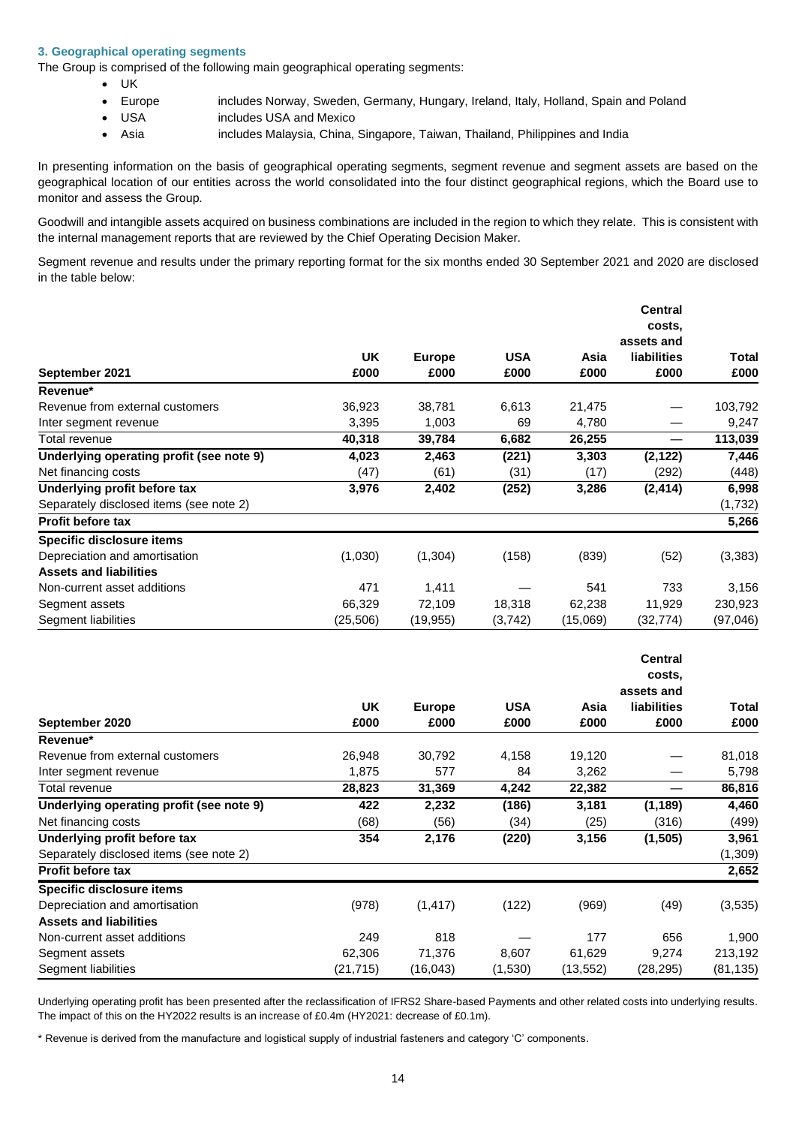# **3. Geographical operating segments**

The Group is comprised of the following main geographical operating segments:

- UK
- Europe includes Norway, Sweden, Germany, Hungary, Ireland, Italy, Holland, Spain and Poland
- USA includes USA and Mexico
- Asia includes Malaysia, China, Singapore, Taiwan, Thailand, Philippines and India

In presenting information on the basis of geographical operating segments, segment revenue and segment assets are based on the geographical location of our entities across the world consolidated into the four distinct geographical regions, which the Board use to monitor and assess the Group.

Goodwill and intangible assets acquired on business combinations are included in the region to which they relate. This is consistent with the internal management reports that are reviewed by the Chief Operating Decision Maker.

Segment revenue and results under the primary reporting format for the six months ended 30 September 2021 and 2020 are disclosed in the table below:

|                                          |          |               |            |          | <b>Central</b>     |          |
|------------------------------------------|----------|---------------|------------|----------|--------------------|----------|
|                                          |          |               |            |          | costs.             |          |
|                                          |          |               |            |          | assets and         |          |
|                                          | UK       | <b>Europe</b> | <b>USA</b> | Asia     | <b>liabilities</b> | Total    |
| September 2021                           | £000     | £000          | £000       | £000     | £000               | £000     |
| Revenue*                                 |          |               |            |          |                    |          |
| Revenue from external customers          | 36,923   | 38,781        | 6,613      | 21,475   |                    | 103,792  |
| Inter segment revenue                    | 3,395    | 1,003         | 69         | 4,780    |                    | 9,247    |
| Total revenue                            | 40,318   | 39,784        | 6,682      | 26,255   |                    | 113,039  |
| Underlying operating profit (see note 9) | 4,023    | 2,463         | (221)      | 3,303    | (2, 122)           | 7,446    |
| Net financing costs                      | (47)     | (61)          | (31)       | (17)     | (292)              | (448)    |
| Underlying profit before tax             | 3,976    | 2,402         | (252)      | 3,286    | (2, 414)           | 6,998    |
| Separately disclosed items (see note 2)  |          |               |            |          |                    | (1,732)  |
| <b>Profit before tax</b>                 |          |               |            |          |                    | 5,266    |
| Specific disclosure items                |          |               |            |          |                    |          |
| Depreciation and amortisation            | (1,030)  | (1, 304)      | (158)      | (839)    | (52)               | (3, 383) |
| <b>Assets and liabilities</b>            |          |               |            |          |                    |          |
| Non-current asset additions              | 471      | 1,411         |            | 541      | 733                | 3,156    |
| Segment assets                           | 66,329   | 72,109        | 18,318     | 62,238   | 11,929             | 230,923  |
| Segment liabilities                      | (25,506) | (19,955)      | (3,742)    | (15,069) | (32,774)           | (97,046) |

|                                          |           |               |            |           | <b>Central</b><br>costs.<br>assets and |           |
|------------------------------------------|-----------|---------------|------------|-----------|----------------------------------------|-----------|
|                                          | UK.       | <b>Europe</b> | <b>USA</b> | Asia      | <b>liabilities</b>                     | Total     |
| September 2020                           | £000      | £000          | £000       | £000      | £000                                   | £000      |
| Revenue*                                 |           |               |            |           |                                        |           |
| Revenue from external customers          | 26,948    | 30,792        | 4,158      | 19,120    |                                        | 81,018    |
| Inter segment revenue                    | 1,875     | 577           | 84         | 3,262     |                                        | 5,798     |
| Total revenue                            | 28,823    | 31,369        | 4,242      | 22,382    |                                        | 86,816    |
| Underlying operating profit (see note 9) | 422       | 2,232         | (186)      | 3,181     | (1, 189)                               | 4,460     |
| Net financing costs                      | (68)      | (56)          | (34)       | (25)      | (316)                                  | (499)     |
| Underlying profit before tax             | 354       | 2,176         | (220)      | 3,156     | (1, 505)                               | 3,961     |
| Separately disclosed items (see note 2)  |           |               |            |           |                                        | (1, 309)  |
| <b>Profit before tax</b>                 |           |               |            |           |                                        | 2,652     |
| Specific disclosure items                |           |               |            |           |                                        |           |
| Depreciation and amortisation            | (978)     | (1, 417)      | (122)      | (969)     | (49)                                   | (3,535)   |
| <b>Assets and liabilities</b>            |           |               |            |           |                                        |           |
| Non-current asset additions              | 249       | 818           |            | 177       | 656                                    | 1,900     |
| Segment assets                           | 62,306    | 71,376        | 8,607      | 61,629    | 9,274                                  | 213,192   |
| Segment liabilities                      | (21, 715) | (16,043)      | (1,530)    | (13, 552) | (28,295)                               | (81, 135) |

Underlying operating profit has been presented after the reclassification of IFRS2 Share-based Payments and other related costs into underlying results. The impact of this on the HY2022 results is an increase of £0.4m (HY2021: decrease of £0.1m).

\* Revenue is derived from the manufacture and logistical supply of industrial fasteners and category 'C' components.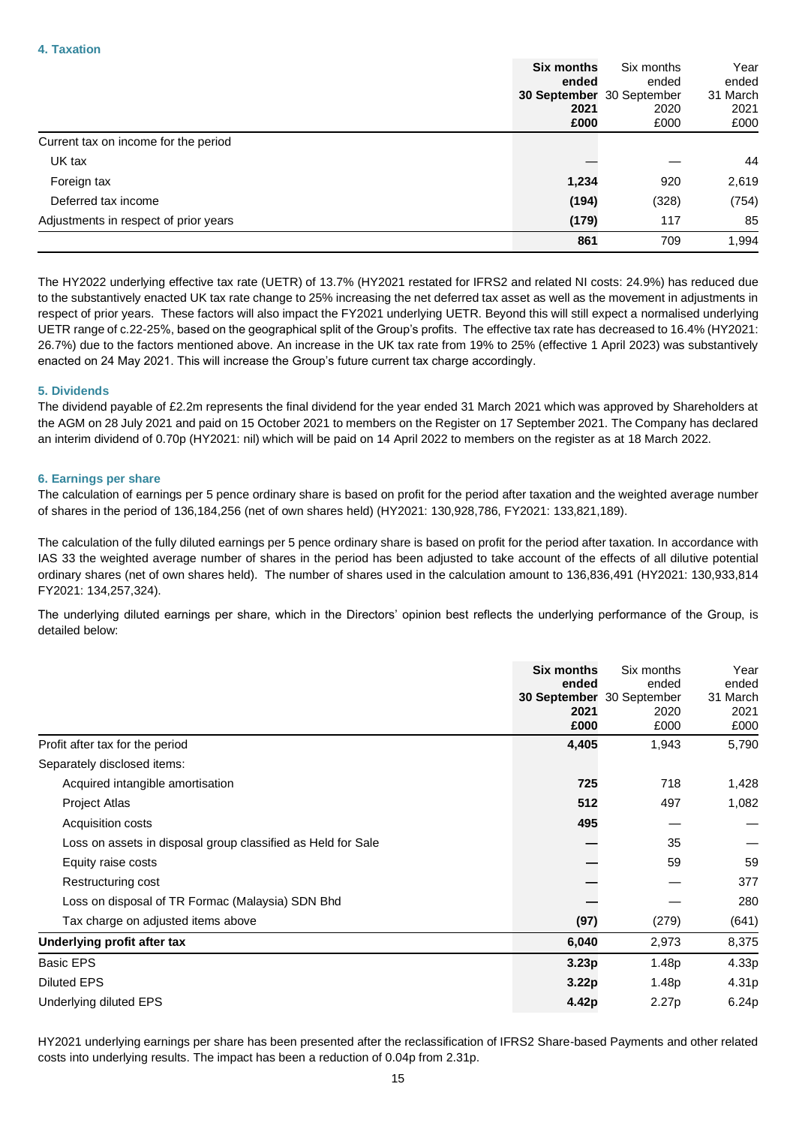|                                       | <b>Six months</b> | Six months                | Year     |
|---------------------------------------|-------------------|---------------------------|----------|
|                                       | ended             | ended                     | ended    |
|                                       |                   | 30 September 30 September | 31 March |
|                                       | 2021              | 2020                      | 2021     |
|                                       | £000              | £000                      | £000     |
| Current tax on income for the period  |                   |                           |          |
| UK tax                                |                   |                           | 44       |
| Foreign tax                           | 1,234             | 920                       | 2,619    |
| Deferred tax income                   | (194)             | (328)                     | (754)    |
| Adjustments in respect of prior years | (179)             | 117                       | 85       |
|                                       | 861               | 709                       | 1,994    |

The HY2022 underlying effective tax rate (UETR) of 13.7% (HY2021 restated for IFRS2 and related NI costs: 24.9%) has reduced due to the substantively enacted UK tax rate change to 25% increasing the net deferred tax asset as well as the movement in adjustments in respect of prior years. These factors will also impact the FY2021 underlying UETR. Beyond this will still expect a normalised underlying UETR range of c.22-25%, based on the geographical split of the Group's profits. The effective tax rate has decreased to 16.4% (HY2021: 26.7%) due to the factors mentioned above. An increase in the UK tax rate from 19% to 25% (effective 1 April 2023) was substantively enacted on 24 May 2021. This will increase the Group's future current tax charge accordingly.

# **5. Dividends**

The dividend payable of £2.2m represents the final dividend for the year ended 31 March 2021 which was approved by Shareholders at the AGM on 28 July 2021 and paid on 15 October 2021 to members on the Register on 17 September 2021. The Company has declared an interim dividend of 0.70p (HY2021: nil) which will be paid on 14 April 2022 to members on the register as at 18 March 2022.

### **6. Earnings per share**

The calculation of earnings per 5 pence ordinary share is based on profit for the period after taxation and the weighted average number of shares in the period of 136,184,256 (net of own shares held) (HY2021: 130,928,786, FY2021: 133,821,189).

The calculation of the fully diluted earnings per 5 pence ordinary share is based on profit for the period after taxation. In accordance with IAS 33 the weighted average number of shares in the period has been adjusted to take account of the effects of all dilutive potential ordinary shares (net of own shares held). The number of shares used in the calculation amount to 136,836,491 (HY2021: 130,933,814 FY2021: 134,257,324).

The underlying diluted earnings per share, which in the Directors' opinion best reflects the underlying performance of the Group, is detailed below:

|                                                              | <b>Six months</b><br>ended | Six months<br>ended                       | Year<br>ended            |
|--------------------------------------------------------------|----------------------------|-------------------------------------------|--------------------------|
|                                                              | 2021<br>£000               | 30 September 30 September<br>2020<br>£000 | 31 March<br>2021<br>£000 |
| Profit after tax for the period                              | 4,405                      | 1,943                                     | 5,790                    |
| Separately disclosed items:                                  |                            |                                           |                          |
| Acquired intangible amortisation                             | 725                        | 718                                       | 1,428                    |
| Project Atlas                                                | 512                        | 497                                       | 1,082                    |
| Acquisition costs                                            | 495                        |                                           |                          |
| Loss on assets in disposal group classified as Held for Sale |                            | 35                                        |                          |
| Equity raise costs                                           |                            | 59                                        | 59                       |
| Restructuring cost                                           |                            |                                           | 377                      |
| Loss on disposal of TR Formac (Malaysia) SDN Bhd             |                            |                                           | 280                      |
| Tax charge on adjusted items above                           | (97)                       | (279)                                     | (641)                    |
| Underlying profit after tax                                  | 6,040                      | 2,973                                     | 8,375                    |
| <b>Basic EPS</b>                                             | 3.23 <sub>p</sub>          | 1.48p                                     | 4.33p                    |
| <b>Diluted EPS</b>                                           | 3.22 <sub>p</sub>          | 1.48p                                     | 4.31p                    |
| Underlying diluted EPS                                       | 4.42p                      | 2.27p                                     | 6.24p                    |

HY2021 underlying earnings per share has been presented after the reclassification of IFRS2 Share-based Payments and other related costs into underlying results. The impact has been a reduction of 0.04p from 2.31p.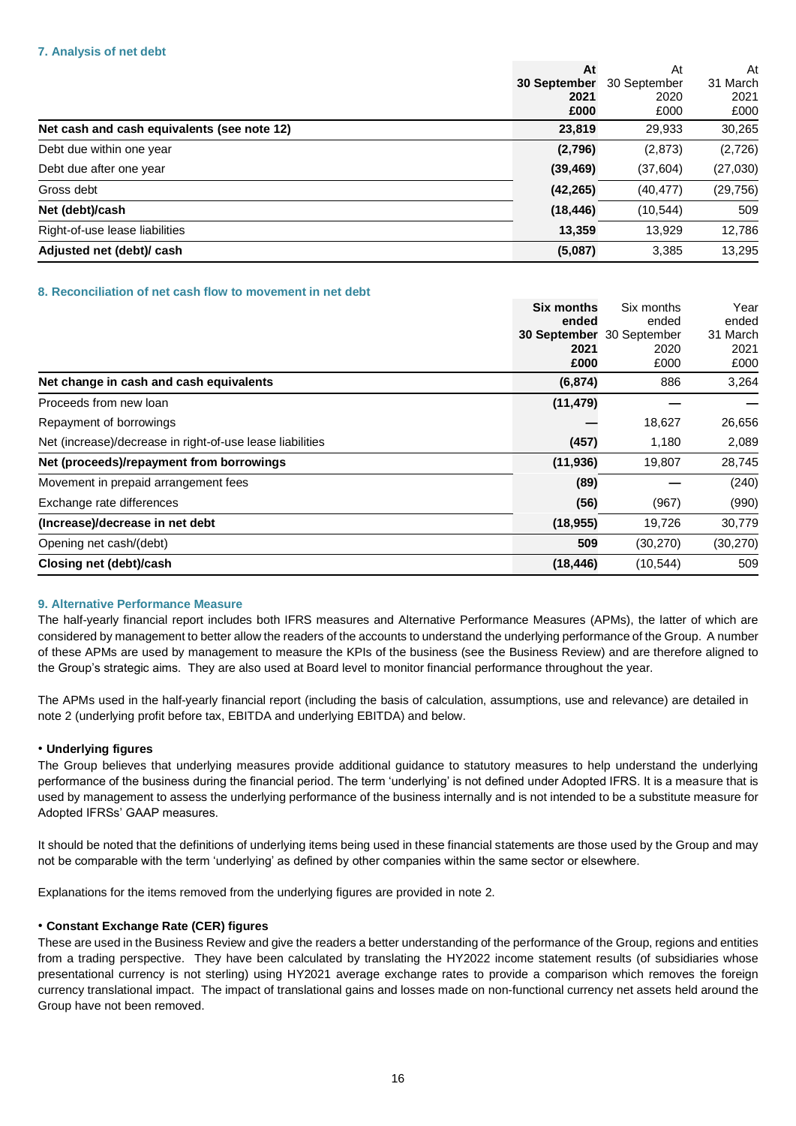|                                             | At           | At           | At       |
|---------------------------------------------|--------------|--------------|----------|
|                                             | 30 September | 30 September | 31 March |
|                                             | 2021         | 2020         | 2021     |
|                                             | £000         | £000         | £000     |
| Net cash and cash equivalents (see note 12) | 23,819       | 29,933       | 30,265   |
| Debt due within one year                    | (2,796)      | (2,873)      | (2,726)  |
| Debt due after one year                     | (39, 469)    | (37, 604)    | (27,030) |
| Gross debt                                  | (42, 265)    | (40, 477)    | (29,756) |
| Net (debt)/cash                             | (18, 446)    | (10, 544)    | 509      |
| Right-of-use lease liabilities              | 13,359       | 13,929       | 12,786   |
| Adjusted net (debt)/ cash                   | (5,087)      | 3,385        | 13,295   |

# **8. Reconciliation of net cash flow to movement in net debt**

|                                                           | <b>Six months</b> | Six months   | Year      |
|-----------------------------------------------------------|-------------------|--------------|-----------|
|                                                           | ended             | ended        | ended     |
|                                                           | 30 September      | 30 September | 31 March  |
|                                                           | 2021              | 2020         | 2021      |
|                                                           | £000              | £000         | £000      |
| Net change in cash and cash equivalents                   | (6, 874)          | 886          | 3,264     |
| Proceeds from new loan                                    | (11, 479)         |              |           |
| Repayment of borrowings                                   |                   | 18,627       | 26,656    |
| Net (increase)/decrease in right-of-use lease liabilities | (457)             | 1,180        | 2,089     |
| Net (proceeds)/repayment from borrowings                  | (11, 936)         | 19,807       | 28,745    |
| Movement in prepaid arrangement fees                      | (89)              |              | (240)     |
| Exchange rate differences                                 | (56)              | (967)        | (990)     |
| (Increase)/decrease in net debt                           | (18, 955)         | 19,726       | 30,779    |
| Opening net cash/(debt)                                   | 509               | (30, 270)    | (30, 270) |
| Closing net (debt)/cash                                   | (18, 446)         | (10, 544)    | 509       |

#### **9. Alternative Performance Measure**

The half-yearly financial report includes both IFRS measures and Alternative Performance Measures (APMs), the latter of which are considered by management to better allow the readers of the accounts to understand the underlying performance of the Group. A number of these APMs are used by management to measure the KPIs of the business (see the Business Review) and are therefore aligned to the Group's strategic aims. They are also used at Board level to monitor financial performance throughout the year.

The APMs used in the half-yearly financial report (including the basis of calculation, assumptions, use and relevance) are detailed in note 2 (underlying profit before tax, EBITDA and underlying EBITDA) and below.

### • **Underlying figures**

The Group believes that underlying measures provide additional guidance to statutory measures to help understand the underlying performance of the business during the financial period. The term 'underlying' is not defined under Adopted IFRS. It is a measure that is used by management to assess the underlying performance of the business internally and is not intended to be a substitute measure for Adopted IFRSs' GAAP measures.

It should be noted that the definitions of underlying items being used in these financial statements are those used by the Group and may not be comparable with the term 'underlying' as defined by other companies within the same sector or elsewhere.

Explanations for the items removed from the underlying figures are provided in note 2.

# • **Constant Exchange Rate (CER) figures**

These are used in the Business Review and give the readers a better understanding of the performance of the Group, regions and entities from a trading perspective. They have been calculated by translating the HY2022 income statement results (of subsidiaries whose presentational currency is not sterling) using HY2021 average exchange rates to provide a comparison which removes the foreign currency translational impact. The impact of translational gains and losses made on non-functional currency net assets held around the Group have not been removed.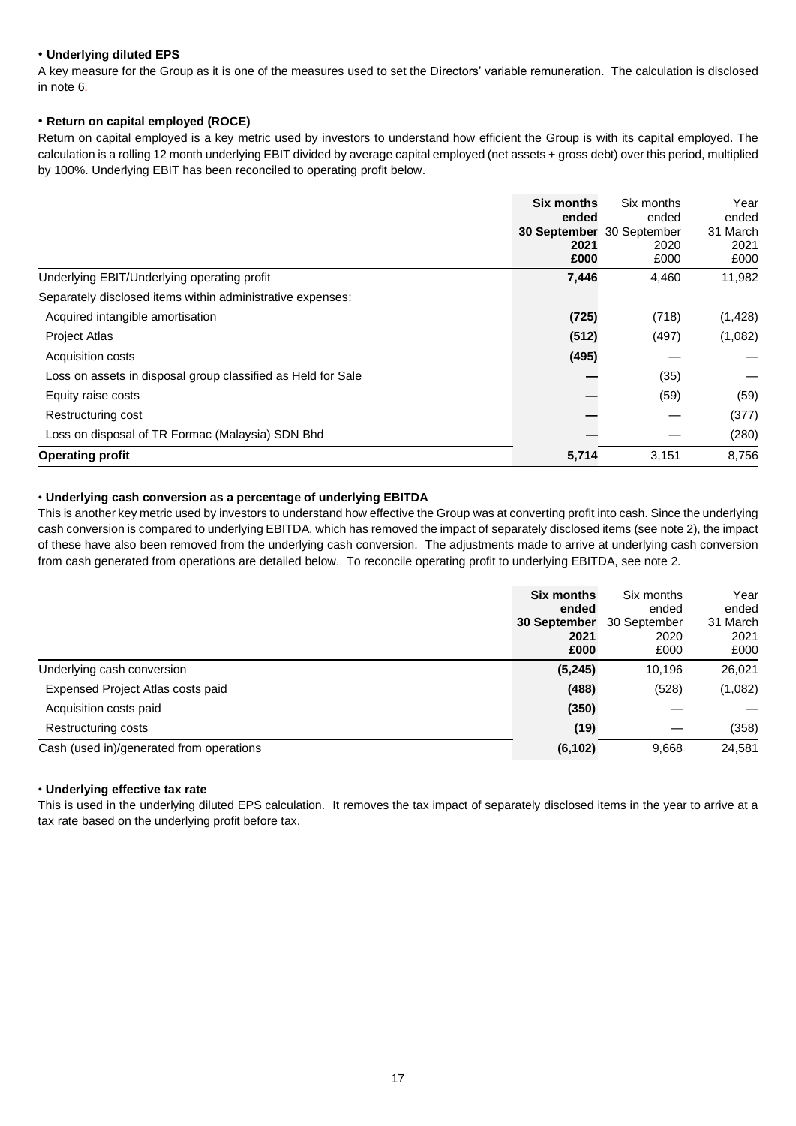# • **Underlying diluted EPS**

A key measure for the Group as it is one of the measures used to set the Directors' variable remuneration. The calculation is disclosed in note 6.

# • **Return on capital employed (ROCE)**

Return on capital employed is a key metric used by investors to understand how efficient the Group is with its capital employed. The calculation is a rolling 12 month underlying EBIT divided by average capital employed (net assets + gross debt) over this period, multiplied by 100%. Underlying EBIT has been reconciled to operating profit below.

|                                                              | <b>Six months</b> | Six months                | Year     |
|--------------------------------------------------------------|-------------------|---------------------------|----------|
|                                                              | ended             | ended                     | ended    |
|                                                              |                   | 30 September 30 September | 31 March |
|                                                              | 2021              | 2020                      | 2021     |
|                                                              | £000              | £000                      | £000     |
| Underlying EBIT/Underlying operating profit                  | 7,446             | 4,460                     | 11,982   |
| Separately disclosed items within administrative expenses:   |                   |                           |          |
| Acquired intangible amortisation                             | (725)             | (718)                     | (1, 428) |
| <b>Project Atlas</b>                                         | (512)             | (497)                     | (1,082)  |
| Acquisition costs                                            | (495)             |                           |          |
| Loss on assets in disposal group classified as Held for Sale |                   | (35)                      |          |
| Equity raise costs                                           |                   | (59)                      | (59)     |
| Restructuring cost                                           |                   |                           | (377)    |
| Loss on disposal of TR Formac (Malaysia) SDN Bhd             |                   |                           | (280)    |
| <b>Operating profit</b>                                      | 5,714             | 3,151                     | 8,756    |

# • **Underlying cash conversion as a percentage of underlying EBITDA**

This is another key metric used by investors to understand how effective the Group was at converting profit into cash. Since the underlying cash conversion is compared to underlying EBITDA, which has removed the impact of separately disclosed items (see note 2), the impact of these have also been removed from the underlying cash conversion. The adjustments made to arrive at underlying cash conversion from cash generated from operations are detailed below. To reconcile operating profit to underlying EBITDA, see note 2.

|                                          | <b>Six months</b> | Six months   | Year     |
|------------------------------------------|-------------------|--------------|----------|
|                                          | ended             | ended        | ended    |
|                                          | 30 September      | 30 September | 31 March |
|                                          | 2021              | 2020         | 2021     |
|                                          | £000              | £000         | £000     |
| Underlying cash conversion               | (5, 245)          | 10,196       | 26,021   |
| Expensed Project Atlas costs paid        | (488)             | (528)        | (1,082)  |
| Acquisition costs paid                   | (350)             |              |          |
| Restructuring costs                      | (19)              |              | (358)    |
| Cash (used in)/generated from operations | (6, 102)          | 9,668        | 24,581   |

# • **Underlying effective tax rate**

This is used in the underlying diluted EPS calculation. It removes the tax impact of separately disclosed items in the year to arrive at a tax rate based on the underlying profit before tax.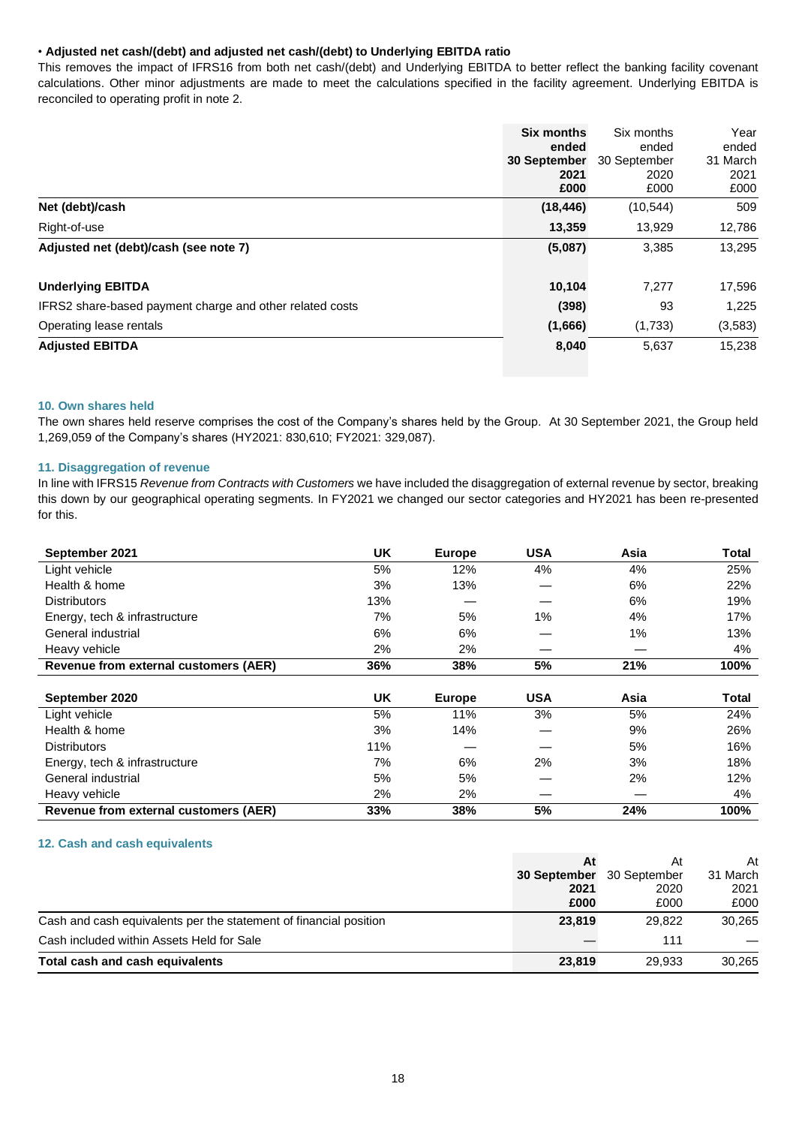# • **Adjusted net cash/(debt) and adjusted net cash/(debt) to Underlying EBITDA ratio**

This removes the impact of IFRS16 from both net cash/(debt) and Underlying EBITDA to better reflect the banking facility covenant calculations. Other minor adjustments are made to meet the calculations specified in the facility agreement. Underlying EBITDA is reconciled to operating profit in note 2.

|                                                          | Six months          | Six months   | Year     |
|----------------------------------------------------------|---------------------|--------------|----------|
|                                                          | ended               | ended        | ended    |
|                                                          | <b>30 September</b> | 30 September | 31 March |
|                                                          | 2021                | 2020         | 2021     |
|                                                          | £000                | £000         | £000     |
| Net (debt)/cash                                          | (18, 446)           | (10, 544)    | 509      |
| Right-of-use                                             | 13,359              | 13,929       | 12,786   |
| Adjusted net (debt)/cash (see note 7)                    | (5,087)             | 3,385        | 13,295   |
| <b>Underlying EBITDA</b>                                 | 10,104              | 7,277        | 17,596   |
| IFRS2 share-based payment charge and other related costs | (398)               | 93           | 1,225    |
| Operating lease rentals                                  | (1,666)             | (1,733)      | (3,583)  |
| <b>Adjusted EBITDA</b>                                   | 8,040               | 5,637        | 15,238   |

# **10. Own shares held**

The own shares held reserve comprises the cost of the Company's shares held by the Group. At 30 September 2021, the Group held 1,269,059 of the Company's shares (HY2021: 830,610; FY2021: 329,087).

# **11. Disaggregation of revenue**

In line with IFRS15 *Revenue from Contracts with Customers* we have included the disaggregation of external revenue by sector, breaking this down by our geographical operating segments. In FY2021 we changed our sector categories and HY2021 has been re-presented for this.

| September 2021                        | <b>UK</b> | <b>Europe</b> | <b>USA</b> | Asia | Total        |
|---------------------------------------|-----------|---------------|------------|------|--------------|
| Light vehicle                         | 5%        | 12%           | 4%         | 4%   | 25%          |
| Health & home                         | 3%        | 13%           |            | 6%   | 22%          |
| <b>Distributors</b>                   | 13%       |               |            | 6%   | 19%          |
| Energy, tech & infrastructure         | 7%        | 5%            | 1%         | 4%   | 17%          |
| General industrial                    | 6%        | 6%            |            | 1%   | 13%          |
| Heavy vehicle                         | 2%        | 2%            |            |      | 4%           |
| Revenue from external customers (AER) | 36%       | 38%           | 5%         | 21%  | 100%         |
|                                       |           |               |            |      |              |
| September 2020                        | UK.       | <b>Europe</b> | <b>USA</b> | Asia | <b>Total</b> |
| Light vehicle                         | 5%        | 11%           | 3%         | 5%   | 24%          |
| Health & home                         | 3%        | 14%           |            | 9%   | 26%          |
| <b>Distributors</b>                   | 11%       |               |            | 5%   | 16%          |
| Energy, tech & infrastructure         | 7%        | 6%            | 2%         | 3%   | 18%          |
| General industrial                    | 5%        | 5%            |            | 2%   | 12%          |
| Heavy vehicle                         | 2%        | 2%            |            |      | 4%           |
| Revenue from external customers (AER) | 33%       | 38%           | 5%         | 24%  | 100%         |

### **12. Cash and cash equivalents**

|                                                                   | At                  | At           | At       |
|-------------------------------------------------------------------|---------------------|--------------|----------|
|                                                                   | <b>30 September</b> | 30 September | 31 March |
|                                                                   | 2021                | 2020         | 2021     |
|                                                                   | £000                | £000         | £000     |
| Cash and cash equivalents per the statement of financial position | 23,819              | 29,822       | 30.265   |
| Cash included within Assets Held for Sale                         |                     | 111          |          |
| Total cash and cash equivalents                                   | 23,819              | 29.933       | 30,265   |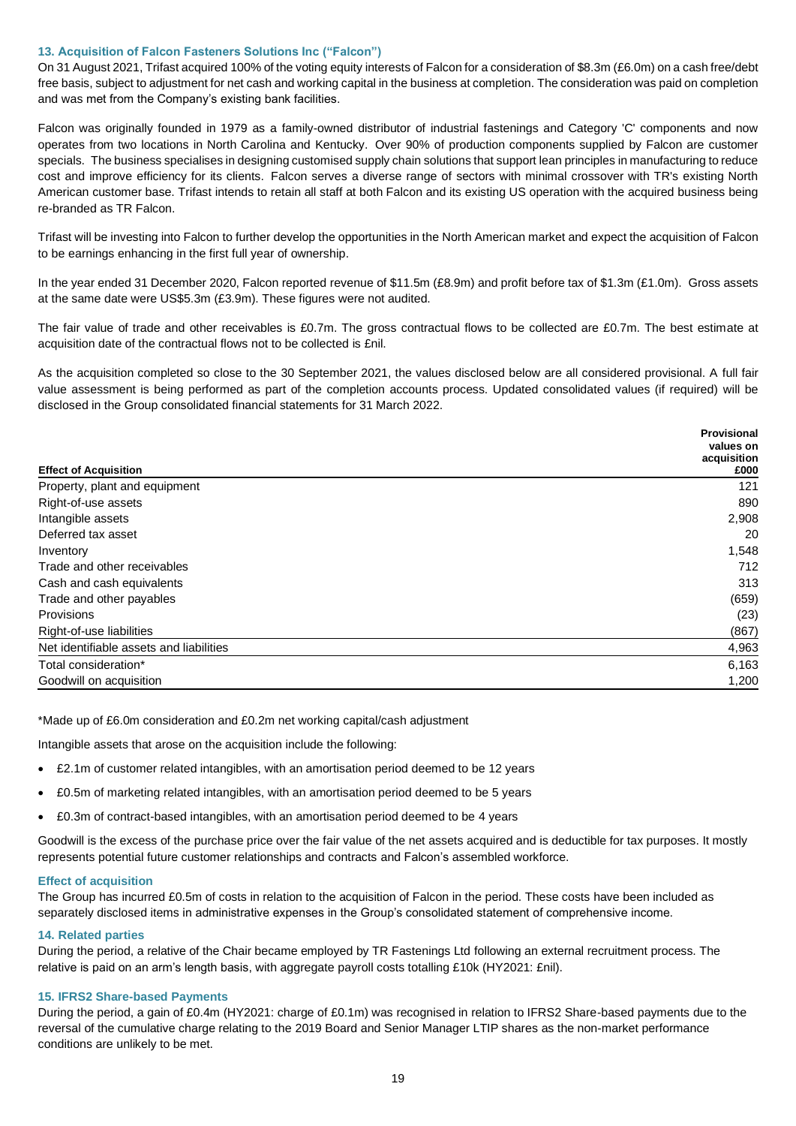### **13. Acquisition of Falcon Fasteners Solutions Inc ("Falcon")**

On 31 August 2021, Trifast acquired 100% of the voting equity interests of Falcon for a consideration of \$8.3m (£6.0m) on a cash free/debt free basis, subject to adjustment for net cash and working capital in the business at completion. The consideration was paid on completion and was met from the Company's existing bank facilities.

Falcon was originally founded in 1979 as a family-owned distributor of industrial fastenings and Category 'C' components and now operates from two locations in North Carolina and Kentucky. Over 90% of production components supplied by Falcon are customer specials. The business specialises in designing customised supply chain solutions that support lean principles in manufacturing to reduce cost and improve efficiency for its clients. Falcon serves a diverse range of sectors with minimal crossover with TR's existing North American customer base. Trifast intends to retain all staff at both Falcon and its existing US operation with the acquired business being re-branded as TR Falcon.

Trifast will be investing into Falcon to further develop the opportunities in the North American market and expect the acquisition of Falcon to be earnings enhancing in the first full year of ownership.

In the year ended 31 December 2020, Falcon reported revenue of \$11.5m (£8.9m) and profit before tax of \$1.3m (£1.0m). Gross assets at the same date were US\$5.3m (£3.9m). These figures were not audited.

The fair value of trade and other receivables is £0.7m. The gross contractual flows to be collected are £0.7m. The best estimate at acquisition date of the contractual flows not to be collected is £nil.

As the acquisition completed so close to the 30 September 2021, the values disclosed below are all considered provisional. A full fair value assessment is being performed as part of the completion accounts process. Updated consolidated values (if required) will be disclosed in the Group consolidated financial statements for 31 March 2022.

|                                         | <b>Provisional</b> |
|-----------------------------------------|--------------------|
|                                         | values on          |
|                                         | acquisition        |
| <b>Effect of Acquisition</b>            | £000               |
| Property, plant and equipment           | 121                |
| Right-of-use assets                     | 890                |
| Intangible assets                       | 2,908              |
| Deferred tax asset                      | 20                 |
| Inventory                               | 1,548              |
| Trade and other receivables             | 712                |
| Cash and cash equivalents               | 313                |
| Trade and other payables                | (659)              |
| Provisions                              | (23)               |
| Right-of-use liabilities                | (867)              |
| Net identifiable assets and liabilities | 4,963              |
| Total consideration*                    | 6,163              |
| Goodwill on acquisition                 | 1,200              |

\*Made up of £6.0m consideration and £0.2m net working capital/cash adjustment

Intangible assets that arose on the acquisition include the following:

- £2.1m of customer related intangibles, with an amortisation period deemed to be 12 years
- £0.5m of marketing related intangibles, with an amortisation period deemed to be 5 years
- £0.3m of contract-based intangibles, with an amortisation period deemed to be 4 years

Goodwill is the excess of the purchase price over the fair value of the net assets acquired and is deductible for tax purposes. It mostly represents potential future customer relationships and contracts and Falcon's assembled workforce.

#### **Effect of acquisition**

The Group has incurred £0.5m of costs in relation to the acquisition of Falcon in the period. These costs have been included as separately disclosed items in administrative expenses in the Group's consolidated statement of comprehensive income.

### **14. Related parties**

During the period, a relative of the Chair became employed by TR Fastenings Ltd following an external recruitment process. The relative is paid on an arm's length basis, with aggregate payroll costs totalling £10k (HY2021: £nil).

#### **15. IFRS2 Share-based Payments**

During the period, a gain of £0.4m (HY2021: charge of £0.1m) was recognised in relation to IFRS2 Share-based payments due to the reversal of the cumulative charge relating to the 2019 Board and Senior Manager LTIP shares as the non-market performance conditions are unlikely to be met.